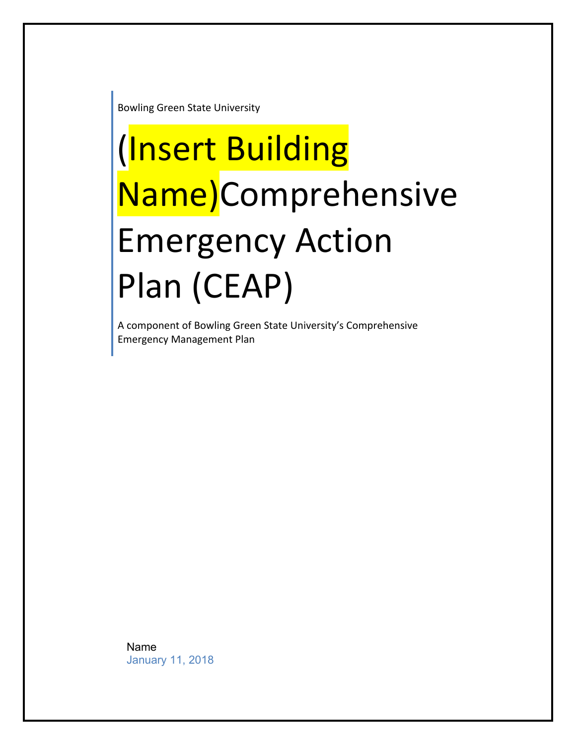**Bowling Green State University** 

# (Insert Building Name)Comprehensive Emergency Action Plan (CEAP)

A component of Bowling Green State University's Comprehensive Emergency Management Plan

Name January 11, 2018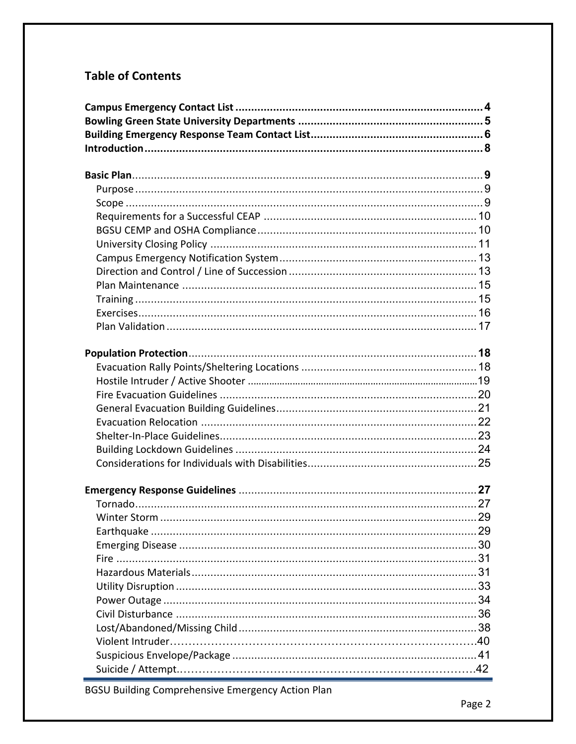# **Table of Contents**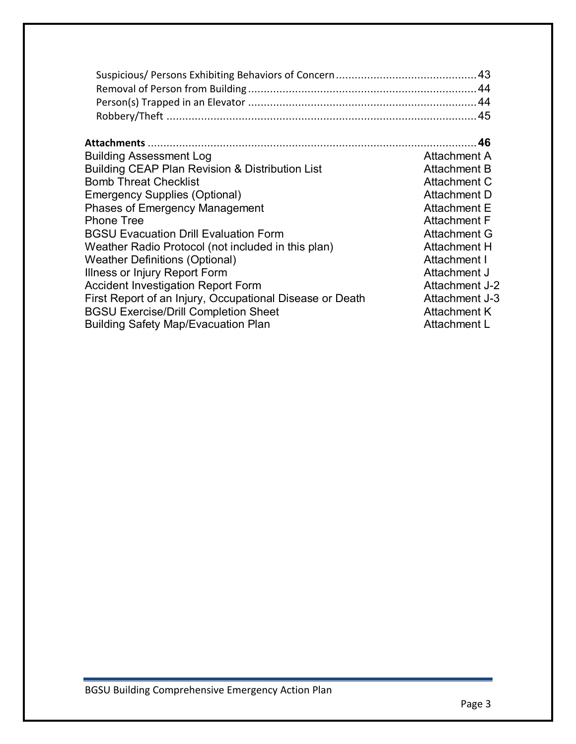| <b>Attachments</b>                                         | -46                 |
|------------------------------------------------------------|---------------------|
| <b>Building Assessment Log</b>                             | Attachment A        |
| <b>Building CEAP Plan Revision &amp; Distribution List</b> | Attachment B        |
| <b>Bomb Threat Checklist</b>                               | Attachment C        |
| <b>Emergency Supplies (Optional)</b>                       | Attachment D        |
| <b>Phases of Emergency Management</b>                      | Attachment E        |
| <b>Phone Tree</b>                                          | <b>Attachment F</b> |
| <b>BGSU Evacuation Drill Evaluation Form</b>               | Attachment G        |
| Weather Radio Protocol (not included in this plan)         | <b>Attachment H</b> |
| <b>Weather Definitions (Optional)</b>                      | Attachment I        |
| Illness or Injury Report Form                              | Attachment J        |
| <b>Accident Investigation Report Form</b>                  | Attachment J-2      |
| First Report of an Injury, Occupational Disease or Death   | Attachment J-3      |
| <b>BGSU Exercise/Drill Completion Sheet</b>                | <b>Attachment K</b> |
| <b>Building Safety Map/Evacuation Plan</b>                 | Attachment L        |
|                                                            |                     |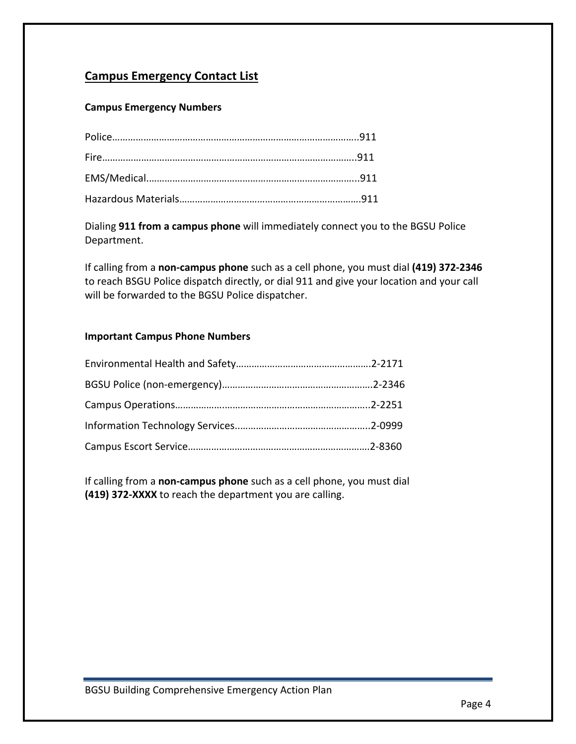# **Campus Emergency Contact List**

# **Campus Emergency Numbers**

Dialing 911 from a campus phone will immediately connect you to the BGSU Police Department.

If calling from a non-campus phone such as a cell phone, you must dial (419) 372-2346 to reach BSGU Police dispatch directly, or dial 911 and give your location and your call will be forwarded to the BGSU Police dispatcher.

#### **Important Campus Phone Numbers**

If calling from a non-campus phone such as a cell phone, you must dial **(419) 372-XXXX** to reach the department you are calling.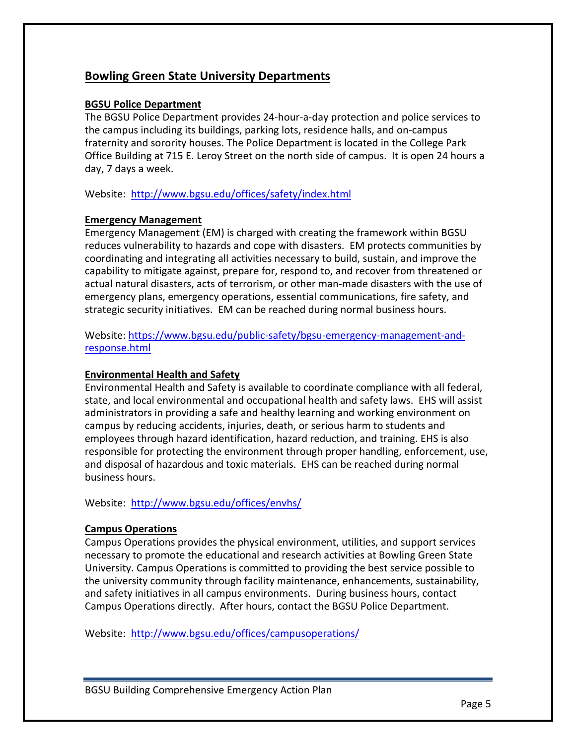# **Bowling Green State University Departments**

# **BGSU** Police Department

The BGSU Police Department provides 24-hour-a-day protection and police services to the campus including its buildings, parking lots, residence halls, and on-campus fraternity and sorority houses. The Police Department is located in the College Park Office Building at 715 E. Leroy Street on the north side of campus. It is open 24 hours a day, 7 days a week.

Website: http://www.bgsu.edu/offices/safety/index.html

# **Emergency Management**

Emergency Management (EM) is charged with creating the framework within BGSU reduces vulnerability to hazards and cope with disasters. EM protects communities by coordinating and integrating all activities necessary to build, sustain, and improve the capability to mitigate against, prepare for, respond to, and recover from threatened or actual natural disasters, acts of terrorism, or other man-made disasters with the use of emergency plans, emergency operations, essential communications, fire safety, and strategic security initiatives. EM can be reached during normal business hours.

Website: https://www.bgsu.edu/public-safety/bgsu-emergency-management-andresponse.html

# **Environmental Health and Safety**

Environmental Health and Safety is available to coordinate compliance with all federal, state, and local environmental and occupational health and safety laws. EHS will assist administrators in providing a safe and healthy learning and working environment on campus by reducing accidents, injuries, death, or serious harm to students and employees through hazard identification, hazard reduction, and training. EHS is also responsible for protecting the environment through proper handling, enforcement, use, and disposal of hazardous and toxic materials. EHS can be reached during normal business hours.

Website: http://www.bgsu.edu/offices/envhs/

# **Campus Operations**

Campus Operations provides the physical environment, utilities, and support services necessary to promote the educational and research activities at Bowling Green State University. Campus Operations is committed to providing the best service possible to the university community through facility maintenance, enhancements, sustainability, and safety initiatives in all campus environments. During business hours, contact Campus Operations directly. After hours, contact the BGSU Police Department.

Website: http://www.bgsu.edu/offices/campusoperations/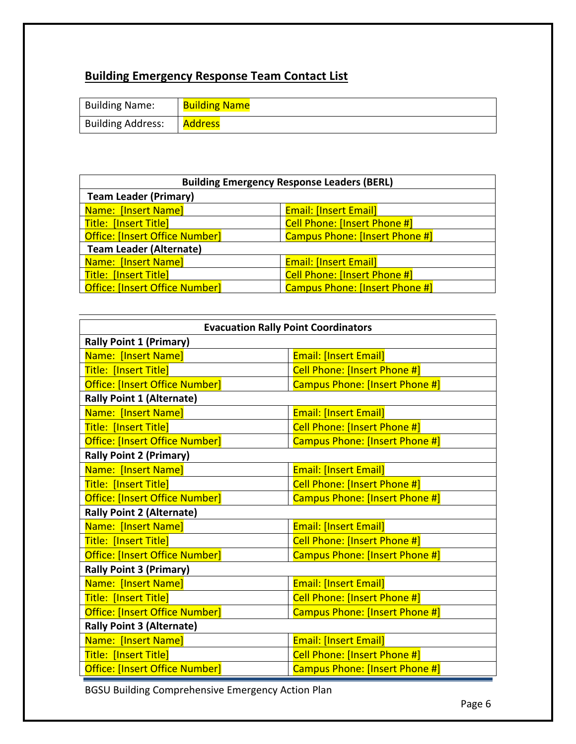# **Building Emergency Response Team Contact List**

| <b>Building Name:</b>    | <b>Building Name</b> |
|--------------------------|----------------------|
| <b>Building Address:</b> | <b>Address</b>       |

| <b>Building Emergency Response Leaders (BERL)</b>                              |                                       |  |
|--------------------------------------------------------------------------------|---------------------------------------|--|
| <b>Team Leader (Primary)</b>                                                   |                                       |  |
| Name: [Insert Name]                                                            | <b>Email: [Insert Email]</b>          |  |
| Title: [Insert Title]                                                          | Cell Phone: [Insert Phone #]          |  |
| <b>Office: [Insert Office Number]</b>                                          | <b>Campus Phone: [Insert Phone #]</b> |  |
| <b>Team Leader (Alternate)</b>                                                 |                                       |  |
| <b>Name: [Insert Name]</b>                                                     | <b>Email: [Insert Email]</b>          |  |
| Title: [Insert Title]                                                          | <b>Cell Phone: [Insert Phone #]</b>   |  |
| <b>Office: [Insert Office Number]</b><br><b>Campus Phone: [Insert Phone #]</b> |                                       |  |

| <b>Evacuation Rally Point Coordinators</b> |                                |  |
|--------------------------------------------|--------------------------------|--|
| <b>Rally Point 1 (Primary)</b>             |                                |  |
| Name: [Insert Name]                        | <b>Email: [Insert Email]</b>   |  |
| Title: [Insert Title]                      | Cell Phone: [Insert Phone #]   |  |
| Office: [Insert Office Number]             | Campus Phone: [Insert Phone #] |  |
| <b>Rally Point 1 (Alternate)</b>           |                                |  |
| Name: [Insert Name]                        | <b>Email: [Insert Email]</b>   |  |
| Title: [Insert Title]                      | Cell Phone: [Insert Phone #]   |  |
| Office: [Insert Office Number]             | Campus Phone: [Insert Phone #] |  |
| <b>Rally Point 2 (Primary)</b>             |                                |  |
| Name: [Insert Name]                        | <b>Email: [Insert Email]</b>   |  |
| Title: [Insert Title]                      | Cell Phone: [Insert Phone #]   |  |
| Office: [Insert Office Number]             | Campus Phone: [Insert Phone #] |  |
| <b>Rally Point 2 (Alternate)</b>           |                                |  |
| Name: [Insert Name]                        | <b>Email: [Insert Email]</b>   |  |
| Title: [Insert Title]                      | Cell Phone: [Insert Phone #]   |  |
| Office: [Insert Office Number]             | Campus Phone: [Insert Phone #] |  |
| <b>Rally Point 3 (Primary)</b>             |                                |  |
| Name: [Insert Name]                        | <b>Email: [Insert Email]</b>   |  |
| Title: [Insert Title]                      | Cell Phone: [Insert Phone #]   |  |
| Office: [Insert Office Number]             | Campus Phone: [Insert Phone #] |  |
| <b>Rally Point 3 (Alternate)</b>           |                                |  |
| Name: [Insert Name]                        | <b>Email: [Insert Email]</b>   |  |
| Title: [Insert Title]                      | Cell Phone: [Insert Phone #]   |  |
| <b>Office: [Insert Office Number]</b>      | Campus Phone: [Insert Phone #] |  |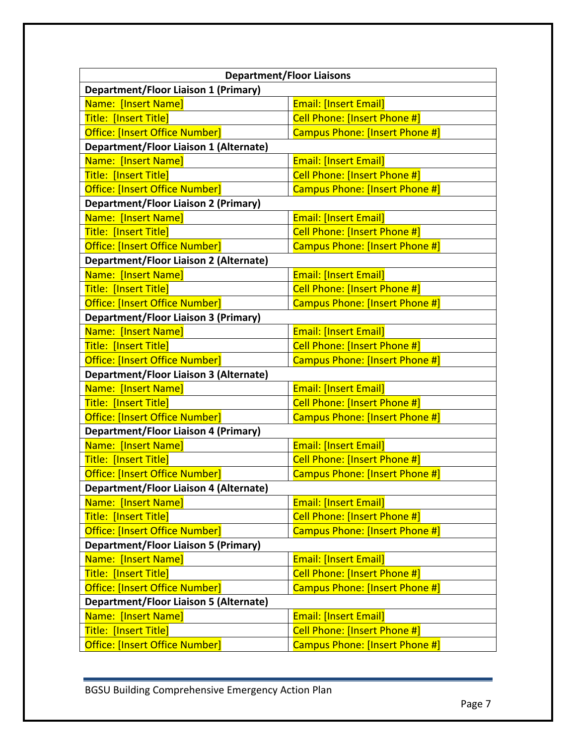| <b>Department/Floor Liaisons</b>                                        |                                     |  |
|-------------------------------------------------------------------------|-------------------------------------|--|
| <b>Department/Floor Liaison 1 (Primary)</b>                             |                                     |  |
| Name: [Insert Name]                                                     | <b>Email: [Insert Email]</b>        |  |
| Title: [Insert Title]                                                   | Cell Phone: [Insert Phone #]        |  |
| Office: [Insert Office Number]                                          | Campus Phone: [Insert Phone #]      |  |
| <b>Department/Floor Liaison 1 (Alternate)</b>                           |                                     |  |
| Name: [Insert Name]                                                     | <b>Email: [Insert Email]</b>        |  |
| Title: [Insert Title]                                                   | <b>Cell Phone: [Insert Phone #]</b> |  |
| Office: [Insert Office Number]                                          | Campus Phone: [Insert Phone #]      |  |
| <b>Department/Floor Liaison 2 (Primary)</b>                             |                                     |  |
| Name: [Insert Name]                                                     | <b>Email: [Insert Email]</b>        |  |
| Title: [Insert Title]                                                   | Cell Phone: [Insert Phone #]        |  |
| Office: [Insert Office Number]                                          | Campus Phone: [Insert Phone #]      |  |
| <b>Department/Floor Liaison 2 (Alternate)</b>                           |                                     |  |
| Name: [Insert Name]                                                     | <b>Email: [Insert Email]</b>        |  |
| Title: [Insert Title]                                                   | Cell Phone: [Insert Phone #]        |  |
| Office: [Insert Office Number]                                          | Campus Phone: [Insert Phone #]      |  |
| <b>Department/Floor Liaison 3 (Primary)</b>                             |                                     |  |
| Name: [Insert Name]                                                     | <b>Email: [Insert Email]</b>        |  |
| Title: [Insert Title]                                                   | Cell Phone: [Insert Phone #]        |  |
| Office: [Insert Office Number]                                          | Campus Phone: [Insert Phone #]      |  |
| <b>Department/Floor Liaison 3 (Alternate)</b>                           |                                     |  |
| Name: [Insert Name]                                                     | <b>Email: [Insert Email]</b>        |  |
| Title: [Insert Title]                                                   | Cell Phone: [Insert Phone #]        |  |
| Office: [Insert Office Number]<br>Campus Phone: [Insert Phone #]        |                                     |  |
| <b>Department/Floor Liaison 4 (Primary)</b>                             |                                     |  |
| Name: [Insert Name]                                                     | <b>Email: [Insert Email]</b>        |  |
| Title: [Insert Title]                                                   | Cell Phone: [Insert Phone #]        |  |
| Office: [Insert Office Number]<br>Campus Phone: [Insert Phone #]        |                                     |  |
| <b>Department/Floor Liaison 4 (Alternate)</b>                           |                                     |  |
| Name: [Insert Name]                                                     | <b>Email: [Insert Email]</b>        |  |
| <b>Title: [Insert Title]</b>                                            | <b>Cell Phone: [Insert Phone #]</b> |  |
| Campus Phone: [Insert Phone #]<br><b>Office: [Insert Office Number]</b> |                                     |  |
| <b>Department/Floor Liaison 5 (Primary)</b>                             |                                     |  |
| Name: [Insert Name]                                                     | <b>Email: [Insert Email]</b>        |  |
| Title: [Insert Title]                                                   | Cell Phone: [Insert Phone #]        |  |
| Office: [Insert Office Number]<br>Campus Phone: [Insert Phone #]        |                                     |  |
| <b>Department/Floor Liaison 5 (Alternate)</b>                           |                                     |  |
| Name: [Insert Name]                                                     | <b>Email: [Insert Email]</b>        |  |
| Title: [Insert Title]                                                   | Cell Phone: [Insert Phone #]        |  |
| Office: [Insert Office Number]                                          | Campus Phone: [Insert Phone #]      |  |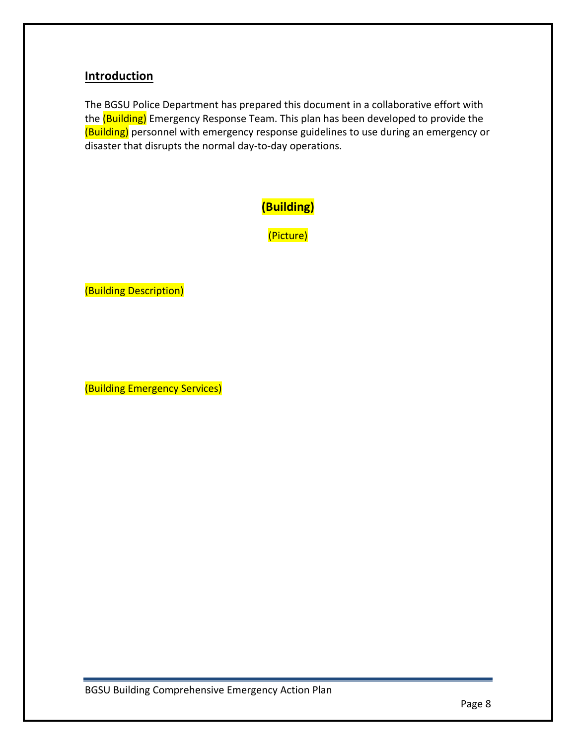# **Introduction**

The BGSU Police Department has prepared this document in a collaborative effort with the (Building) Emergency Response Team. This plan has been developed to provide the (Building) personnel with emergency response guidelines to use during an emergency or disaster that disrupts the normal day-to-day operations.



(Picture)

(Building Description)

(Building Emergency Services)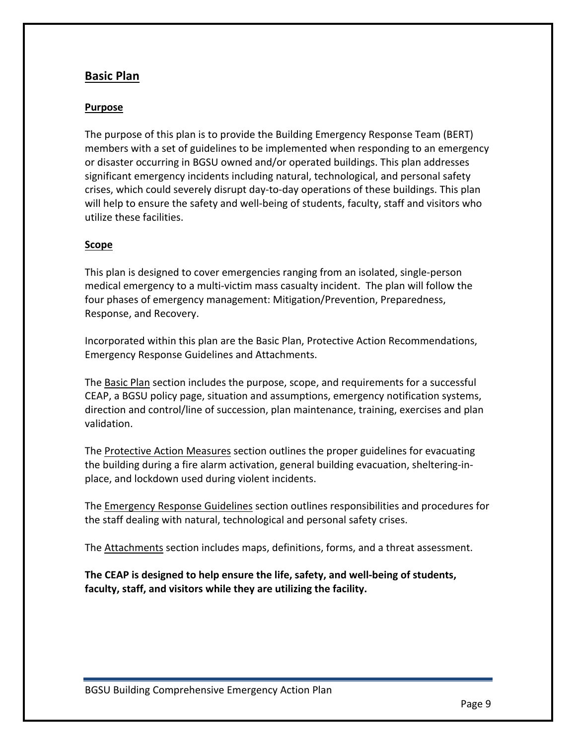# **Basic Plan**

# **Purpose**

The purpose of this plan is to provide the Building Emergency Response Team (BERT) members with a set of guidelines to be implemented when responding to an emergency or disaster occurring in BGSU owned and/or operated buildings. This plan addresses significant emergency incidents including natural, technological, and personal safety crises, which could severely disrupt day-to-day operations of these buildings. This plan will help to ensure the safety and well-being of students, faculty, staff and visitors who utilize these facilities.

# **Scope**

This plan is designed to cover emergencies ranging from an isolated, single-person medical emergency to a multi-victim mass casualty incident. The plan will follow the four phases of emergency management: Mitigation/Prevention, Preparedness, Response, and Recovery.

Incorporated within this plan are the Basic Plan, Protective Action Recommendations, Emergency Response Guidelines and Attachments.

The Basic Plan section includes the purpose, scope, and requirements for a successful CEAP, a BGSU policy page, situation and assumptions, emergency notification systems, direction and control/line of succession, plan maintenance, training, exercises and plan validation.

The Protective Action Measures section outlines the proper guidelines for evacuating the building during a fire alarm activation, general building evacuation, sheltering-inplace, and lockdown used during violent incidents.

The Emergency Response Guidelines section outlines responsibilities and procedures for the staff dealing with natural, technological and personal safety crises.

The Attachments section includes maps, definitions, forms, and a threat assessment.

The CEAP is designed to help ensure the life, safety, and well-being of students, faculty, staff, and visitors while they are utilizing the facility.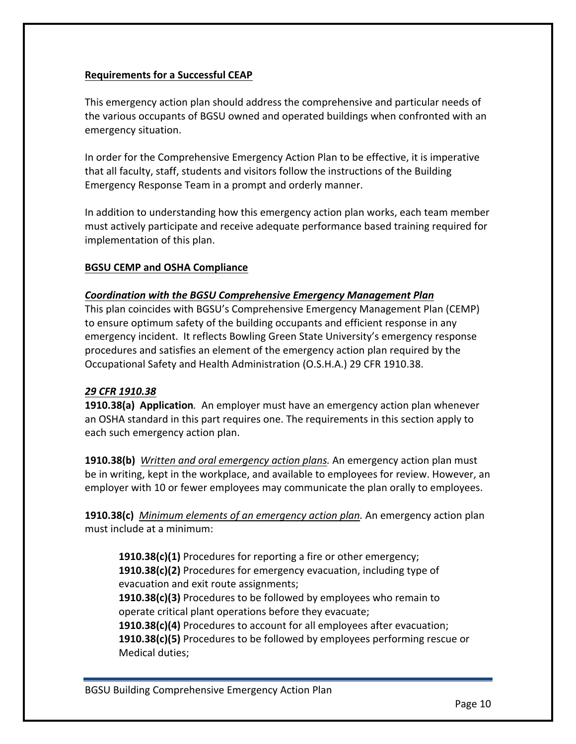# **Requirements for a Successful CEAP**

This emergency action plan should address the comprehensive and particular needs of the various occupants of BGSU owned and operated buildings when confronted with an emergency situation.

In order for the Comprehensive Emergency Action Plan to be effective, it is imperative that all faculty, staff, students and visitors follow the instructions of the Building Emergency Response Team in a prompt and orderly manner.

In addition to understanding how this emergency action plan works, each team member must actively participate and receive adequate performance based training required for implementation of this plan.

# **BGSU CEMP and OSHA Compliance**

# *Coordination with the BGSU Comprehensive Emergency Management Plan*

This plan coincides with BGSU's Comprehensive Emergency Management Plan (CEMP) to ensure optimum safety of the building occupants and efficient response in any emergency incident. It reflects Bowling Green State University's emergency response procedures and satisfies an element of the emergency action plan required by the Occupational Safety and Health Administration (O.S.H.A.) 29 CFR 1910.38.

# *29 CFR 1910.38*

**1910.38(a) Application**. An employer must have an emergency action plan whenever an OSHA standard in this part requires one. The requirements in this section apply to each such emergency action plan.

**1910.38(b)** Written and oral emergency action plans. An emergency action plan must be in writing, kept in the workplace, and available to employees for review. However, an employer with 10 or fewer employees may communicate the plan orally to employees.

**1910.38(c)** Minimum elements of an emergency action plan. An emergency action plan must include at a minimum:

**1910.38(c)(1)** Procedures for reporting a fire or other emergency; **1910.38(c)(2)** Procedures for emergency evacuation, including type of evacuation and exit route assignments;

**1910.38(c)(3)** Procedures to be followed by employees who remain to operate critical plant operations before they evacuate;

**1910.38(c)(4)** Procedures to account for all employees after evacuation; **1910.38(c)(5)** Procedures to be followed by employees performing rescue or Medical duties;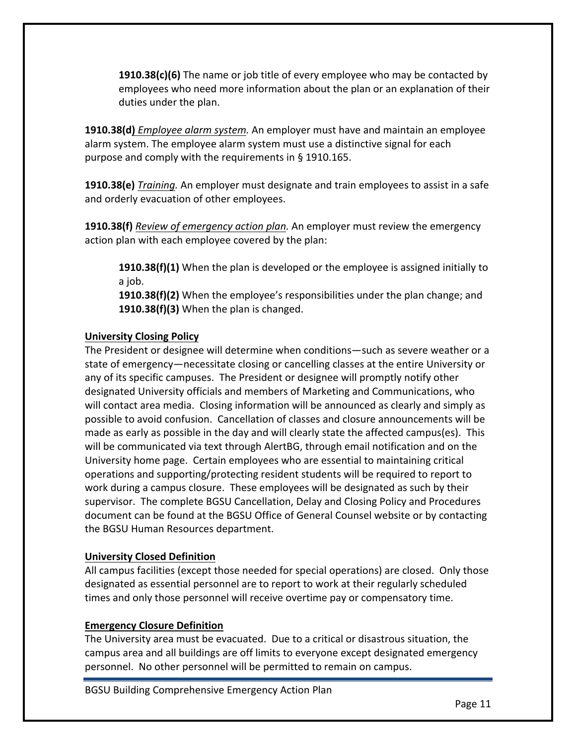**1910.38(c)(6)** The name or job title of every employee who may be contacted by employees who need more information about the plan or an explanation of their duties under the plan.

**1910.38(d)** *Employee alarm system.* An employer must have and maintain an employee alarm system. The employee alarm system must use a distinctive signal for each purpose and comply with the requirements in § 1910.165.

**1910.38(e)** *Training.* An employer must designate and train employees to assist in a safe and orderly evacuation of other employees.

**1910.38(f)** Review of emergency action plan. An employer must review the emergency action plan with each employee covered by the plan:

**1910.38(f)(1)** When the plan is developed or the employee is assigned initially to a job.

**1910.38(f)(2)** When the employee's responsibilities under the plan change; and **1910.38(f)(3)** When the plan is changed.

# **University Closing Policy**

The President or designee will determine when conditions—such as severe weather or a state of emergency—necessitate closing or cancelling classes at the entire University or any of its specific campuses. The President or designee will promptly notify other designated University officials and members of Marketing and Communications, who will contact area media. Closing information will be announced as clearly and simply as possible to avoid confusion. Cancellation of classes and closure announcements will be made as early as possible in the day and will clearly state the affected campus(es). This will be communicated via text through AlertBG, through email notification and on the University home page. Certain employees who are essential to maintaining critical operations and supporting/protecting resident students will be required to report to work during a campus closure. These employees will be designated as such by their supervisor. The complete BGSU Cancellation, Delay and Closing Policy and Procedures document can be found at the BGSU Office of General Counsel website or by contacting the BGSU Human Resources department.

# **University Closed Definition**

All campus facilities (except those needed for special operations) are closed. Only those designated as essential personnel are to report to work at their regularly scheduled times and only those personnel will receive overtime pay or compensatory time.

# **Emergency Closure Definition**

The University area must be evacuated. Due to a critical or disastrous situation, the campus area and all buildings are off limits to everyone except designated emergency personnel. No other personnel will be permitted to remain on campus.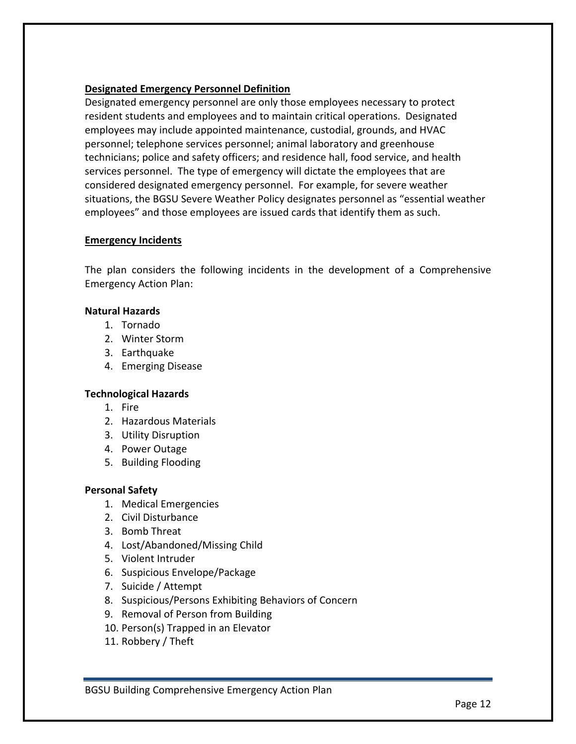# **Designated Emergency Personnel Definition**

Designated emergency personnel are only those employees necessary to protect resident students and employees and to maintain critical operations. Designated employees may include appointed maintenance, custodial, grounds, and HVAC personnel; telephone services personnel; animal laboratory and greenhouse technicians; police and safety officers; and residence hall, food service, and health services personnel. The type of emergency will dictate the employees that are considered designated emergency personnel. For example, for severe weather situations, the BGSU Severe Weather Policy designates personnel as "essential weather employees" and those employees are issued cards that identify them as such.

#### **Emergency Incidents**

The plan considers the following incidents in the development of a Comprehensive Emergency Action Plan: 

#### **Natural Hazards**

- 1. Tornado
- 2. Winter Storm
- 3. Earthquake
- 4. Emerging Disease

# **Technological Hazards**

- 1. Fire
- 2. Hazardous Materials
- 3. Utility Disruption
- 4. Power Outage
- 5. Building Flooding

# **Personal Safety**

- 1. Medical Emergencies
- 2. Civil Disturbance
- 3. Bomb Threat
- 4. Lost/Abandoned/Missing Child
- 5. Violent Intruder
- 6. Suspicious Envelope/Package
- 7. Suicide / Attempt
- 8. Suspicious/Persons Exhibiting Behaviors of Concern
- 9. Removal of Person from Building
- 10. Person(s) Trapped in an Elevator
- 11. Robbery / Theft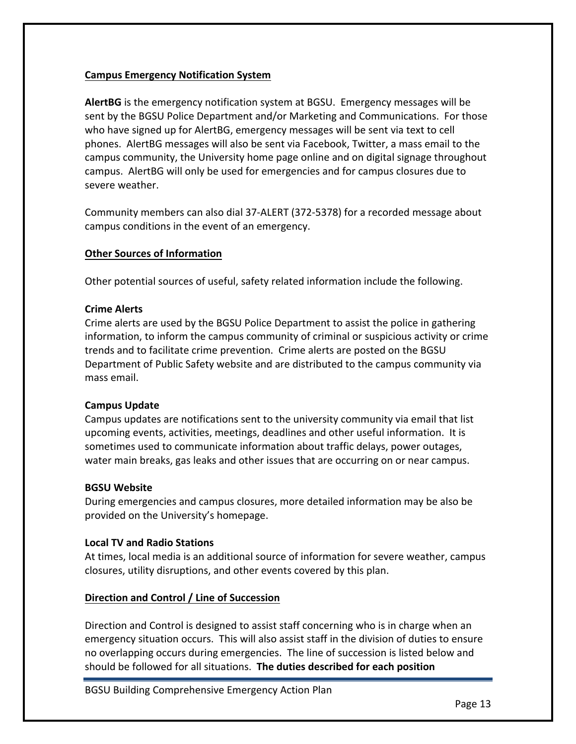# **Campus Emergency Notification System**

AlertBG is the emergency notification system at BGSU. Emergency messages will be sent by the BGSU Police Department and/or Marketing and Communications. For those who have signed up for AlertBG, emergency messages will be sent via text to cell phones. AlertBG messages will also be sent via Facebook, Twitter, a mass email to the campus community, the University home page online and on digital signage throughout campus. AlertBG will only be used for emergencies and for campus closures due to severe weather.

Community members can also dial 37-ALERT (372-5378) for a recorded message about campus conditions in the event of an emergency.

# **Other Sources of Information**

Other potential sources of useful, safety related information include the following.

#### **Crime Alerts**

Crime alerts are used by the BGSU Police Department to assist the police in gathering information, to inform the campus community of criminal or suspicious activity or crime trends and to facilitate crime prevention. Crime alerts are posted on the BGSU Department of Public Safety website and are distributed to the campus community via mass email.

# **Campus Update**

Campus updates are notifications sent to the university community via email that list upcoming events, activities, meetings, deadlines and other useful information. It is sometimes used to communicate information about traffic delays, power outages, water main breaks, gas leaks and other issues that are occurring on or near campus.

#### **BGSU Website**

During emergencies and campus closures, more detailed information may be also be provided on the University's homepage.

#### **Local TV and Radio Stations**

At times, local media is an additional source of information for severe weather, campus closures, utility disruptions, and other events covered by this plan.

# Direction and Control / Line of Succession

Direction and Control is designed to assist staff concerning who is in charge when an emergency situation occurs. This will also assist staff in the division of duties to ensure no overlapping occurs during emergencies. The line of succession is listed below and should be followed for all situations. The duties described for each position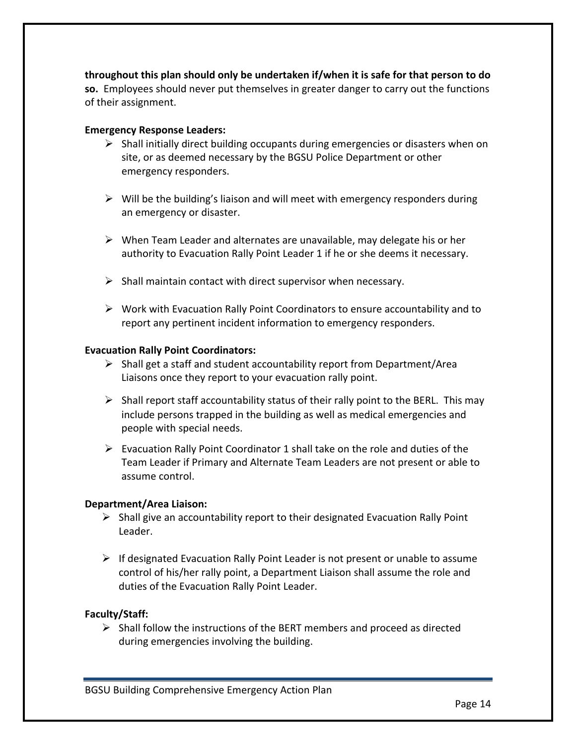**throughout this plan should only be undertaken if/when it is safe for that person to do so.** Employees should never put themselves in greater danger to carry out the functions of their assignment.

#### **Emergency Response Leaders:**

- $\triangleright$  Shall initially direct building occupants during emergencies or disasters when on site, or as deemed necessary by the BGSU Police Department or other emergency responders.
- $\triangleright$  Will be the building's liaison and will meet with emergency responders during an emergency or disaster.
- $\triangleright$  When Team Leader and alternates are unavailable, may delegate his or her authority to Evacuation Rally Point Leader 1 if he or she deems it necessary.
- $\triangleright$  Shall maintain contact with direct supervisor when necessary.
- $\triangleright$  Work with Evacuation Rally Point Coordinators to ensure accountability and to report any pertinent incident information to emergency responders.

#### **Evacuation Rally Point Coordinators:**

- $\triangleright$  Shall get a staff and student accountability report from Department/Area Liaisons once they report to your evacuation rally point.
- $\triangleright$  Shall report staff accountability status of their rally point to the BERL. This may include persons trapped in the building as well as medical emergencies and people with special needs.
- $\triangleright$  Evacuation Rally Point Coordinator 1 shall take on the role and duties of the Team Leader if Primary and Alternate Team Leaders are not present or able to assume control.

# **Department/Area Liaison:**

- $\triangleright$  Shall give an accountability report to their designated Evacuation Rally Point Leader.
- $\triangleright$  If designated Evacuation Rally Point Leader is not present or unable to assume control of his/her rally point, a Department Liaison shall assume the role and duties of the Evacuation Rally Point Leader.

# **Faculty/Staff:**

 $\triangleright$  Shall follow the instructions of the BERT members and proceed as directed during emergencies involving the building.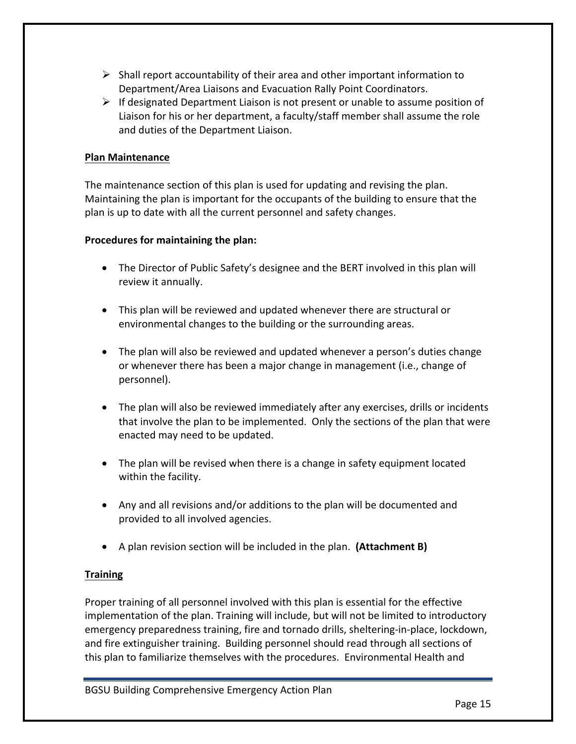- $\triangleright$  Shall report accountability of their area and other important information to Department/Area Liaisons and Evacuation Rally Point Coordinators.
- $\triangleright$  If designated Department Liaison is not present or unable to assume position of Liaison for his or her department, a faculty/staff member shall assume the role and duties of the Department Liaison.

# **Plan Maintenance**

The maintenance section of this plan is used for updating and revising the plan. Maintaining the plan is important for the occupants of the building to ensure that the plan is up to date with all the current personnel and safety changes.

# **Procedures for maintaining the plan:**

- The Director of Public Safety's designee and the BERT involved in this plan will review it annually.
- This plan will be reviewed and updated whenever there are structural or environmental changes to the building or the surrounding areas.
- The plan will also be reviewed and updated whenever a person's duties change or whenever there has been a major change in management (i.e., change of personnel).
- The plan will also be reviewed immediately after any exercises, drills or incidents that involve the plan to be implemented. Only the sections of the plan that were enacted may need to be updated.
- The plan will be revised when there is a change in safety equipment located within the facility.
- Any and all revisions and/or additions to the plan will be documented and provided to all involved agencies.
- A plan revision section will be included in the plan. (Attachment B)

# **Training**

Proper training of all personnel involved with this plan is essential for the effective implementation of the plan. Training will include, but will not be limited to introductory emergency preparedness training, fire and tornado drills, sheltering-in-place, lockdown, and fire extinguisher training. Building personnel should read through all sections of this plan to familiarize themselves with the procedures. Environmental Health and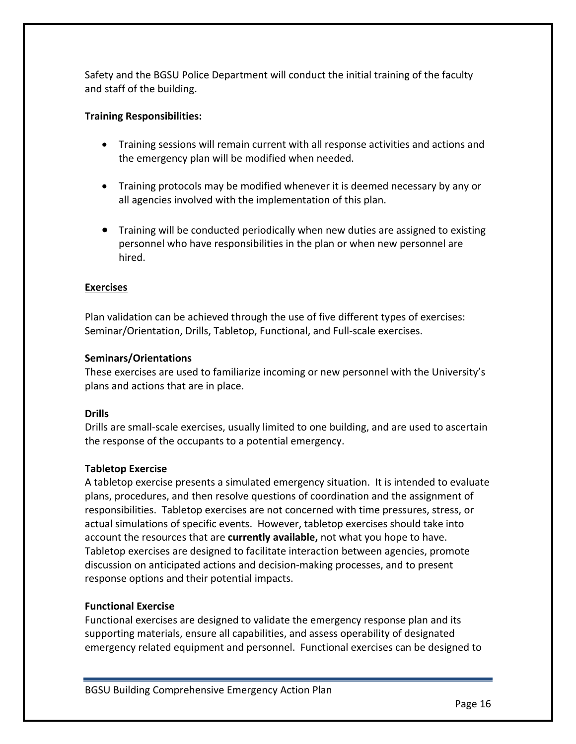Safety and the BGSU Police Department will conduct the initial training of the faculty and staff of the building.

# **Training Responsibilities:**

- Training sessions will remain current with all response activities and actions and the emergency plan will be modified when needed.
- Training protocols may be modified whenever it is deemed necessary by any or all agencies involved with the implementation of this plan.
- Training will be conducted periodically when new duties are assigned to existing personnel who have responsibilities in the plan or when new personnel are hired.

# **Exercises**

Plan validation can be achieved through the use of five different types of exercises: Seminar/Orientation, Drills, Tabletop, Functional, and Full-scale exercises.

# **Seminars/Orientations**

These exercises are used to familiarize incoming or new personnel with the University's plans and actions that are in place.

# **Drills**

Drills are small-scale exercises, usually limited to one building, and are used to ascertain the response of the occupants to a potential emergency.

# **Tabletop Exercise**

A tabletop exercise presents a simulated emergency situation. It is intended to evaluate plans, procedures, and then resolve questions of coordination and the assignment of responsibilities. Tabletop exercises are not concerned with time pressures, stress, or actual simulations of specific events. However, tabletop exercises should take into account the resources that are **currently available**, not what you hope to have. Tabletop exercises are designed to facilitate interaction between agencies, promote discussion on anticipated actions and decision-making processes, and to present response options and their potential impacts.

# **Functional Exercise**

Functional exercises are designed to validate the emergency response plan and its supporting materials, ensure all capabilities, and assess operability of designated emergency related equipment and personnel. Functional exercises can be designed to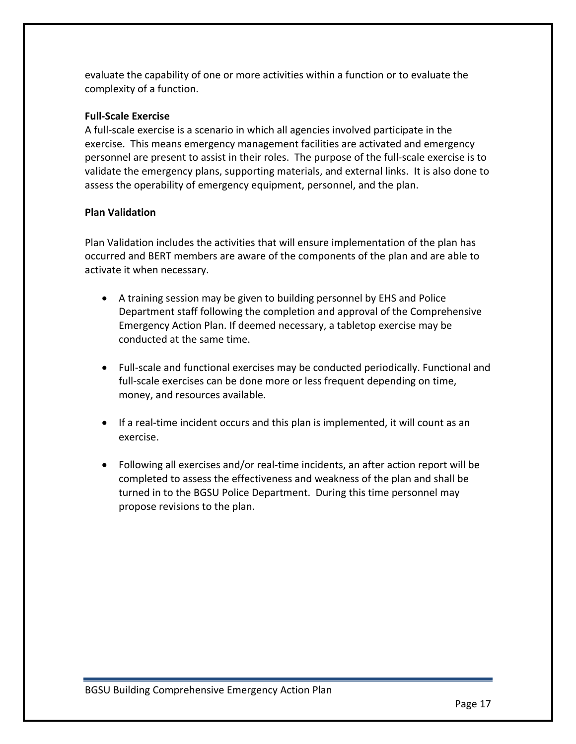evaluate the capability of one or more activities within a function or to evaluate the complexity of a function.

# **Full-Scale Exercise**

A full-scale exercise is a scenario in which all agencies involved participate in the exercise. This means emergency management facilities are activated and emergency personnel are present to assist in their roles. The purpose of the full-scale exercise is to validate the emergency plans, supporting materials, and external links. It is also done to assess the operability of emergency equipment, personnel, and the plan.

# **Plan Validation**

Plan Validation includes the activities that will ensure implementation of the plan has occurred and BERT members are aware of the components of the plan and are able to activate it when necessary.

- A training session may be given to building personnel by EHS and Police Department staff following the completion and approval of the Comprehensive Emergency Action Plan. If deemed necessary, a tabletop exercise may be conducted at the same time.
- Full-scale and functional exercises may be conducted periodically. Functional and full-scale exercises can be done more or less frequent depending on time, money, and resources available.
- If a real-time incident occurs and this plan is implemented, it will count as an exercise.
- Following all exercises and/or real-time incidents, an after action report will be completed to assess the effectiveness and weakness of the plan and shall be turned in to the BGSU Police Department. During this time personnel may propose revisions to the plan.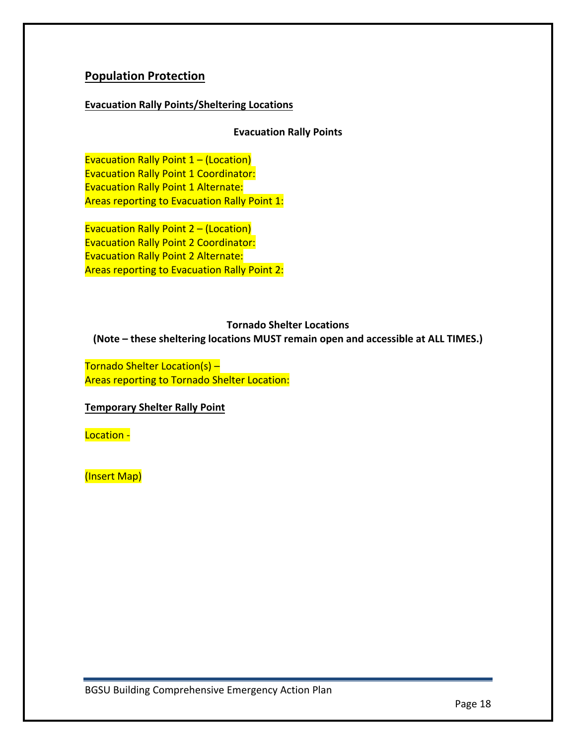# **Population Protection**

# **Evacuation Rally Points/Sheltering Locations**

# **Evacuation Rally Points**

Evacuation Rally Point  $1 - (Location)$ **Evacuation Rally Point 1 Coordinator: Evacuation Rally Point 1 Alternate:** Areas reporting to Evacuation Rally Point 1:

Evacuation Rally Point  $2 - (Location)$ **Evacuation Rally Point 2 Coordinator: Evacuation Rally Point 2 Alternate:** Areas reporting to Evacuation Rally Point 2:

#### **Tornado Shelter Locations**

**(Note – these sheltering locations MUST remain open and accessible at ALL TIMES.)** 

Tornado Shelter Location(s) -Areas reporting to Tornado Shelter Location:

# **Temporary Shelter Rally Point**

Location -

(Insert Map)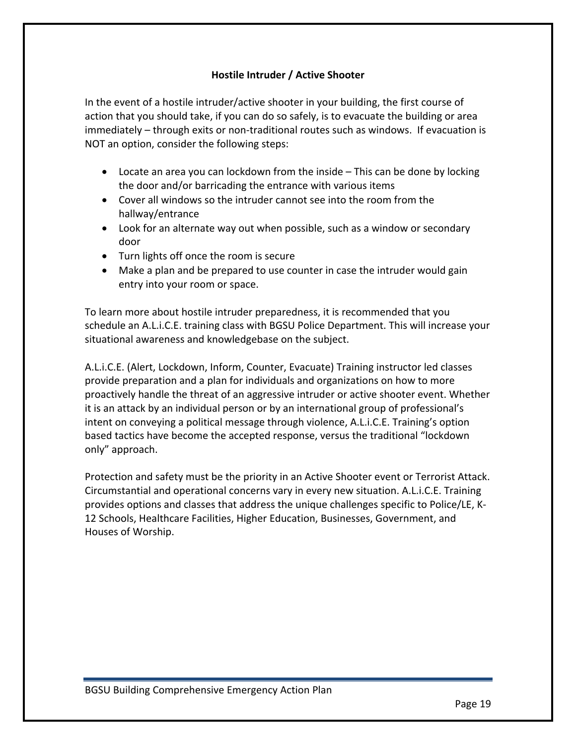# **Hostile Intruder / Active Shooter**

In the event of a hostile intruder/active shooter in your building, the first course of action that you should take, if you can do so safely, is to evacuate the building or area immediately – through exits or non-traditional routes such as windows. If evacuation is NOT an option, consider the following steps:

- Locate an area you can lockdown from the inside  $-$  This can be done by locking the door and/or barricading the entrance with various items
- Cover all windows so the intruder cannot see into the room from the hallway/entrance
- Look for an alternate way out when possible, such as a window or secondary door
- Turn lights off once the room is secure
- Make a plan and be prepared to use counter in case the intruder would gain entry into your room or space.

To learn more about hostile intruder preparedness, it is recommended that you schedule an A.L.i.C.E. training class with BGSU Police Department. This will increase your situational awareness and knowledgebase on the subject.

A.L.i.C.E. (Alert, Lockdown, Inform, Counter, Evacuate) Training instructor led classes provide preparation and a plan for individuals and organizations on how to more proactively handle the threat of an aggressive intruder or active shooter event. Whether it is an attack by an individual person or by an international group of professional's intent on conveying a political message through violence, A.L.i.C.E. Training's option based tactics have become the accepted response, versus the traditional "lockdown only" approach.

Protection and safety must be the priority in an Active Shooter event or Terrorist Attack. Circumstantial and operational concerns vary in every new situation. A.L.i.C.E. Training provides options and classes that address the unique challenges specific to Police/LE, K-12 Schools, Healthcare Facilities, Higher Education, Businesses, Government, and Houses of Worship.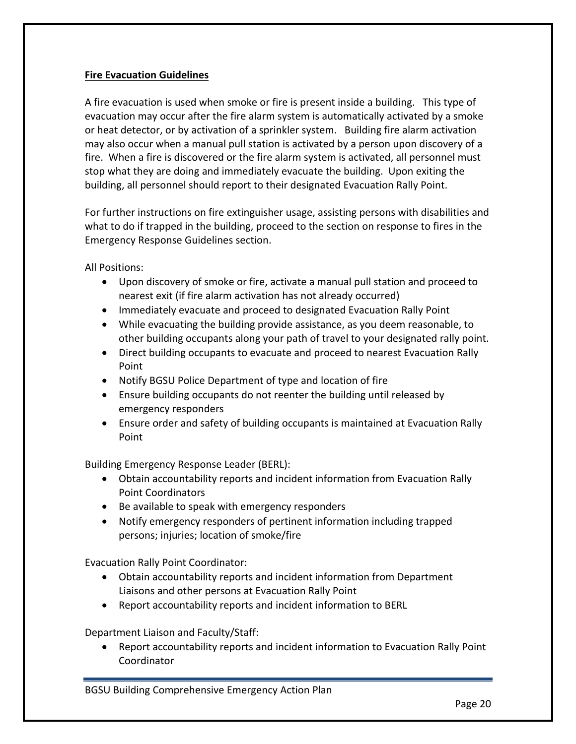# **Fire Evacuation Guidelines**

A fire evacuation is used when smoke or fire is present inside a building. This type of evacuation may occur after the fire alarm system is automatically activated by a smoke or heat detector, or by activation of a sprinkler system. Building fire alarm activation may also occur when a manual pull station is activated by a person upon discovery of a fire. When a fire is discovered or the fire alarm system is activated, all personnel must stop what they are doing and immediately evacuate the building. Upon exiting the building, all personnel should report to their designated Evacuation Rally Point.

For further instructions on fire extinguisher usage, assisting persons with disabilities and what to do if trapped in the building, proceed to the section on response to fires in the Emergency Response Guidelines section.

All Positions:

- Upon discovery of smoke or fire, activate a manual pull station and proceed to nearest exit (if fire alarm activation has not already occurred)
- Immediately evacuate and proceed to designated Evacuation Rally Point
- While evacuating the building provide assistance, as you deem reasonable, to other building occupants along your path of travel to your designated rally point.
- Direct building occupants to evacuate and proceed to nearest Evacuation Rally Point
- Notify BGSU Police Department of type and location of fire
- Ensure building occupants do not reenter the building until released by emergency responders
- Ensure order and safety of building occupants is maintained at Evacuation Rally Point

Building Emergency Response Leader (BERL):

- Obtain accountability reports and incident information from Evacuation Rally Point Coordinators
- Be available to speak with emergency responders
- Notify emergency responders of pertinent information including trapped persons; injuries; location of smoke/fire

Evacuation Rally Point Coordinator:

- Obtain accountability reports and incident information from Department Liaisons and other persons at Evacuation Rally Point
- Report accountability reports and incident information to BERL

Department Liaison and Faculty/Staff:

• Report accountability reports and incident information to Evacuation Rally Point Coordinator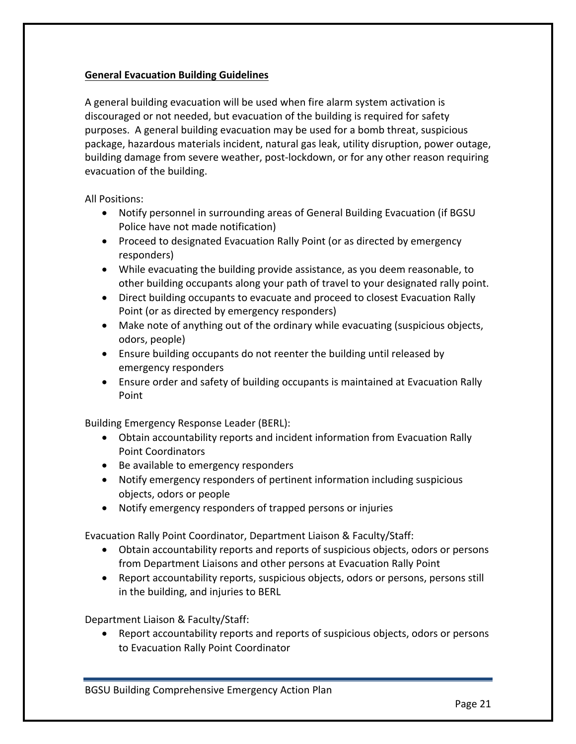# **General Evacuation Building Guidelines**

A general building evacuation will be used when fire alarm system activation is discouraged or not needed, but evacuation of the building is required for safety purposes. A general building evacuation may be used for a bomb threat, suspicious package, hazardous materials incident, natural gas leak, utility disruption, power outage, building damage from severe weather, post-lockdown, or for any other reason requiring evacuation of the building.

All Positions:

- Notify personnel in surrounding areas of General Building Evacuation (if BGSU Police have not made notification)
- Proceed to designated Evacuation Rally Point (or as directed by emergency responders)
- While evacuating the building provide assistance, as you deem reasonable, to other building occupants along your path of travel to your designated rally point.
- Direct building occupants to evacuate and proceed to closest Evacuation Rally Point (or as directed by emergency responders)
- Make note of anything out of the ordinary while evacuating (suspicious objects, odors, people)
- Ensure building occupants do not reenter the building until released by emergency responders
- Ensure order and safety of building occupants is maintained at Evacuation Rally Point

Building Emergency Response Leader (BERL):

- Obtain accountability reports and incident information from Evacuation Rally Point Coordinators
- Be available to emergency responders
- Notify emergency responders of pertinent information including suspicious objects, odors or people
- Notify emergency responders of trapped persons or injuries

Evacuation Rally Point Coordinator, Department Liaison & Faculty/Staff:

- Obtain accountability reports and reports of suspicious objects, odors or persons from Department Liaisons and other persons at Evacuation Rally Point
- Report accountability reports, suspicious objects, odors or persons, persons still in the building, and injuries to BERL

Department Liaison & Faculty/Staff:

• Report accountability reports and reports of suspicious objects, odors or persons to Evacuation Rally Point Coordinator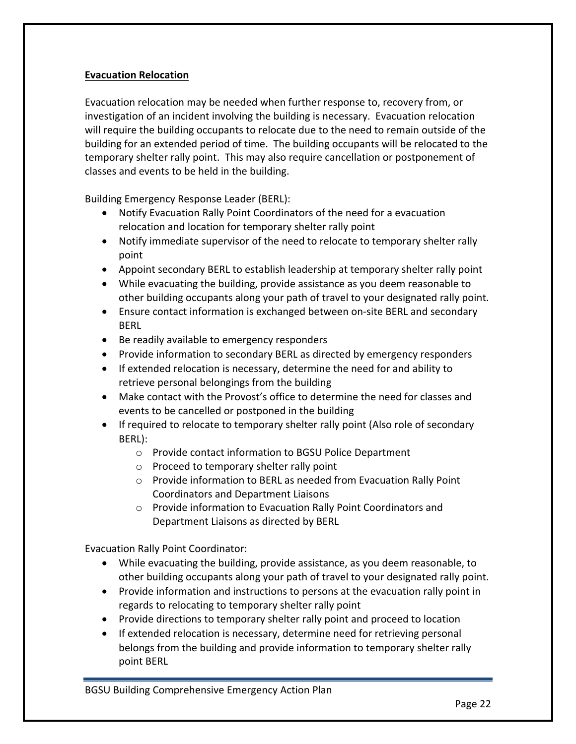# **Evacuation Relocation**

Evacuation relocation may be needed when further response to, recovery from, or investigation of an incident involving the building is necessary. Evacuation relocation will require the building occupants to relocate due to the need to remain outside of the building for an extended period of time. The building occupants will be relocated to the temporary shelter rally point. This may also require cancellation or postponement of classes and events to be held in the building.

Building Emergency Response Leader (BERL):

- Notify Evacuation Rally Point Coordinators of the need for a evacuation relocation and location for temporary shelter rally point
- Notify immediate supervisor of the need to relocate to temporary shelter rally point
- Appoint secondary BERL to establish leadership at temporary shelter rally point
- While evacuating the building, provide assistance as you deem reasonable to other building occupants along your path of travel to your designated rally point.
- Ensure contact information is exchanged between on-site BERL and secondary BERL
- Be readily available to emergency responders
- Provide information to secondary BERL as directed by emergency responders
- If extended relocation is necessary, determine the need for and ability to retrieve personal belongings from the building
- Make contact with the Provost's office to determine the need for classes and events to be cancelled or postponed in the building
- If required to relocate to temporary shelter rally point (Also role of secondary BERL):
	- $\circ$  Provide contact information to BGSU Police Department
	- $\circ$  Proceed to temporary shelter rally point
	- $\circ$  Provide information to BERL as needed from Evacuation Rally Point Coordinators and Department Liaisons
	- $\circ$  Provide information to Evacuation Rally Point Coordinators and Department Liaisons as directed by BERL

Evacuation Rally Point Coordinator:

- While evacuating the building, provide assistance, as you deem reasonable, to other building occupants along your path of travel to your designated rally point.
- Provide information and instructions to persons at the evacuation rally point in regards to relocating to temporary shelter rally point
- Provide directions to temporary shelter rally point and proceed to location
- If extended relocation is necessary, determine need for retrieving personal belongs from the building and provide information to temporary shelter rally point BERL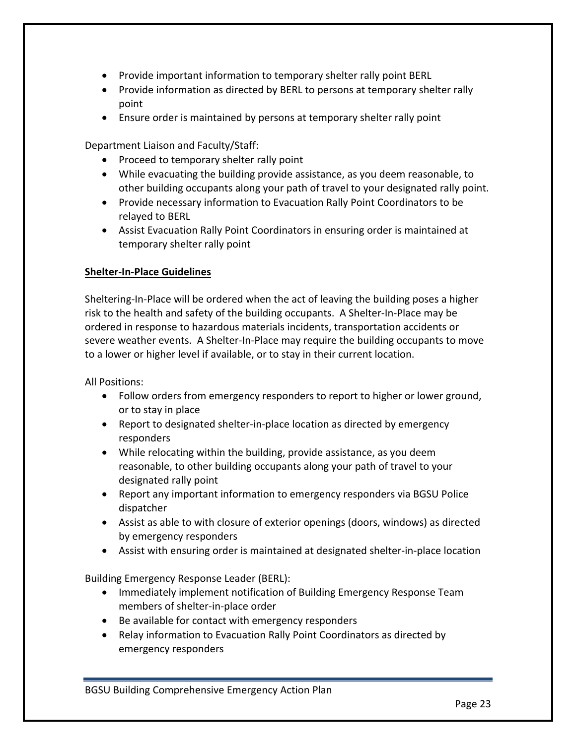- Provide important information to temporary shelter rally point BERL
- Provide information as directed by BERL to persons at temporary shelter rally point
- Ensure order is maintained by persons at temporary shelter rally point

Department Liaison and Faculty/Staff:

- Proceed to temporary shelter rally point
- While evacuating the building provide assistance, as you deem reasonable, to other building occupants along your path of travel to your designated rally point.
- Provide necessary information to Evacuation Rally Point Coordinators to be relayed to BERL
- Assist Evacuation Rally Point Coordinators in ensuring order is maintained at temporary shelter rally point

# **Shelter-In-Place Guidelines**

Sheltering-In-Place will be ordered when the act of leaving the building poses a higher risk to the health and safety of the building occupants. A Shelter-In-Place may be ordered in response to hazardous materials incidents, transportation accidents or severe weather events. A Shelter-In-Place may require the building occupants to move to a lower or higher level if available, or to stay in their current location.

**All Positions:** 

- Follow orders from emergency responders to report to higher or lower ground, or to stay in place
- Report to designated shelter-in-place location as directed by emergency responders
- While relocating within the building, provide assistance, as you deem reasonable, to other building occupants along your path of travel to your designated rally point
- Report any important information to emergency responders via BGSU Police dispatcher
- Assist as able to with closure of exterior openings (doors, windows) as directed by emergency responders
- Assist with ensuring order is maintained at designated shelter-in-place location

Building Emergency Response Leader (BERL):

- Immediately implement notification of Building Emergency Response Team members of shelter-in-place order
- Be available for contact with emergency responders
- Relay information to Evacuation Rally Point Coordinators as directed by emergency responders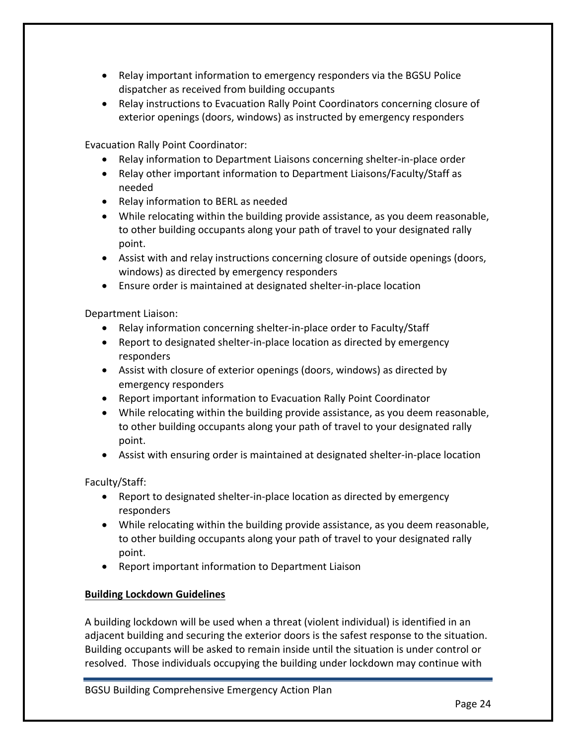- Relay important information to emergency responders via the BGSU Police dispatcher as received from building occupants
- Relay instructions to Evacuation Rally Point Coordinators concerning closure of exterior openings (doors, windows) as instructed by emergency responders

Evacuation Rally Point Coordinator:

- Relay information to Department Liaisons concerning shelter-in-place order
- Relay other important information to Department Liaisons/Faculty/Staff as needed
- Relay information to BERL as needed
- While relocating within the building provide assistance, as you deem reasonable, to other building occupants along your path of travel to your designated rally point.
- Assist with and relay instructions concerning closure of outside openings (doors, windows) as directed by emergency responders
- Ensure order is maintained at designated shelter-in-place location

Department Liaison:

- Relay information concerning shelter-in-place order to Faculty/Staff
- Report to designated shelter-in-place location as directed by emergency responders
- Assist with closure of exterior openings (doors, windows) as directed by emergency responders
- Report important information to Evacuation Rally Point Coordinator
- While relocating within the building provide assistance, as you deem reasonable, to other building occupants along your path of travel to your designated rally point.
- Assist with ensuring order is maintained at designated shelter-in-place location

Faculty/Staff:

- Report to designated shelter-in-place location as directed by emergency responders
- While relocating within the building provide assistance, as you deem reasonable, to other building occupants along your path of travel to your designated rally point.
- Report important information to Department Liaison

# **Building Lockdown Guidelines**

A building lockdown will be used when a threat (violent individual) is identified in an adjacent building and securing the exterior doors is the safest response to the situation. Building occupants will be asked to remain inside until the situation is under control or resolved. Those individuals occupying the building under lockdown may continue with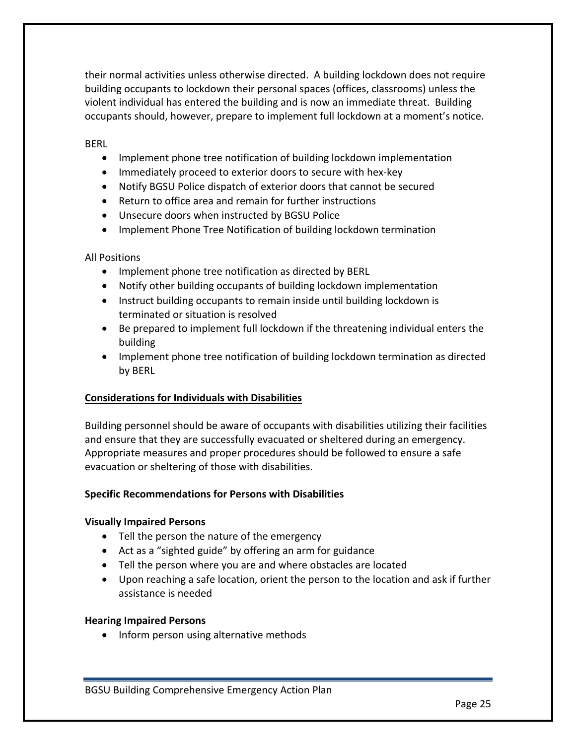their normal activities unless otherwise directed. A building lockdown does not require building occupants to lockdown their personal spaces (offices, classrooms) unless the violent individual has entered the building and is now an immediate threat. Building occupants should, however, prepare to implement full lockdown at a moment's notice.

BERL

- Implement phone tree notification of building lockdown implementation
- Immediately proceed to exterior doors to secure with hex-key
- Notify BGSU Police dispatch of exterior doors that cannot be secured
- Return to office area and remain for further instructions
- Unsecure doors when instructed by BGSU Police
- Implement Phone Tree Notification of building lockdown termination

**All Positions** 

- Implement phone tree notification as directed by BERL
- Notify other building occupants of building lockdown implementation
- Instruct building occupants to remain inside until building lockdown is terminated or situation is resolved
- Be prepared to implement full lockdown if the threatening individual enters the building
- Implement phone tree notification of building lockdown termination as directed by BERL

#### **Considerations for Individuals with Disabilities**

Building personnel should be aware of occupants with disabilities utilizing their facilities and ensure that they are successfully evacuated or sheltered during an emergency. Appropriate measures and proper procedures should be followed to ensure a safe evacuation or sheltering of those with disabilities.

#### **Specific Recommendations for Persons with Disabilities**

#### **Visually Impaired Persons**

- Tell the person the nature of the emergency
- Act as a "sighted guide" by offering an arm for guidance
- Tell the person where you are and where obstacles are located
- Upon reaching a safe location, orient the person to the location and ask if further assistance is needed

#### **Hearing Impaired Persons**

• Inform person using alternative methods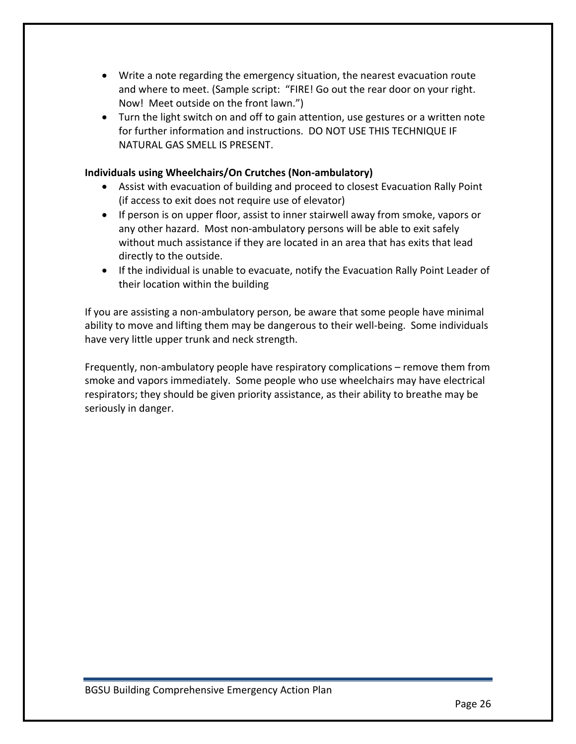- Write a note regarding the emergency situation, the nearest evacuation route and where to meet. (Sample script: "FIRE! Go out the rear door on your right. Now! Meet outside on the front lawn.")
- Turn the light switch on and off to gain attention, use gestures or a written note for further information and instructions. DO NOT USE THIS TECHNIQUE IF NATURAL GAS SMELL IS PRESENT.

# **Individuals using Wheelchairs/On Crutches (Non-ambulatory)**

- Assist with evacuation of building and proceed to closest Evacuation Rally Point (if access to exit does not require use of elevator)
- If person is on upper floor, assist to inner stairwell away from smoke, vapors or any other hazard. Most non-ambulatory persons will be able to exit safely without much assistance if they are located in an area that has exits that lead directly to the outside.
- If the individual is unable to evacuate, notify the Evacuation Rally Point Leader of their location within the building

If you are assisting a non-ambulatory person, be aware that some people have minimal ability to move and lifting them may be dangerous to their well-being. Some individuals have very little upper trunk and neck strength.

Frequently, non-ambulatory people have respiratory complications – remove them from smoke and vapors immediately. Some people who use wheelchairs may have electrical respirators; they should be given priority assistance, as their ability to breathe may be seriously in danger.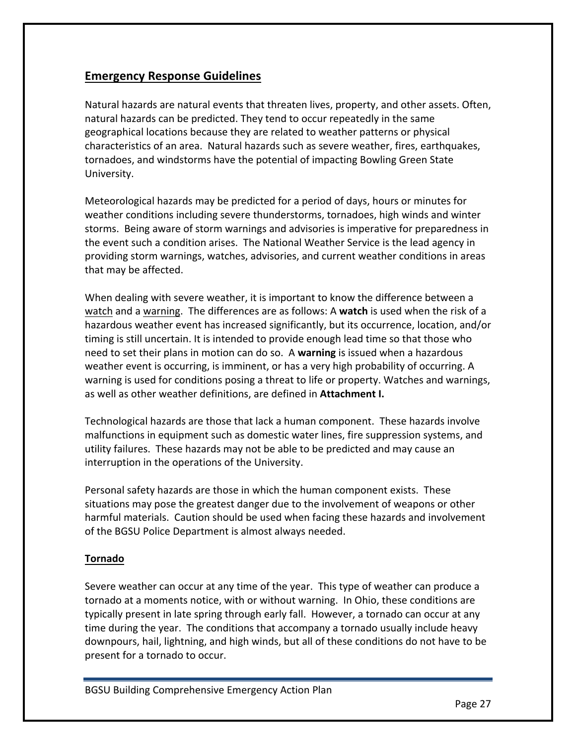# **Emergency Response Guidelines**

Natural hazards are natural events that threaten lives, property, and other assets. Often, natural hazards can be predicted. They tend to occur repeatedly in the same geographical locations because they are related to weather patterns or physical characteristics of an area. Natural hazards such as severe weather, fires, earthquakes, tornadoes, and windstorms have the potential of impacting Bowling Green State University.

Meteorological hazards may be predicted for a period of days, hours or minutes for weather conditions including severe thunderstorms, tornadoes, high winds and winter storms. Being aware of storm warnings and advisories is imperative for preparedness in the event such a condition arises. The National Weather Service is the lead agency in providing storm warnings, watches, advisories, and current weather conditions in areas that may be affected.

When dealing with severe weather, it is important to know the difference between a watch and a warning. The differences are as follows: A watch is used when the risk of a hazardous weather event has increased significantly, but its occurrence, location, and/or timing is still uncertain. It is intended to provide enough lead time so that those who need to set their plans in motion can do so. A **warning** is issued when a hazardous weather event is occurring, is imminent, or has a very high probability of occurring. A warning is used for conditions posing a threat to life or property. Watches and warnings, as well as other weather definitions, are defined in **Attachment I.** 

Technological hazards are those that lack a human component. These hazards involve malfunctions in equipment such as domestic water lines, fire suppression systems, and utility failures. These hazards may not be able to be predicted and may cause an interruption in the operations of the University.

Personal safety hazards are those in which the human component exists. These situations may pose the greatest danger due to the involvement of weapons or other harmful materials. Caution should be used when facing these hazards and involvement of the BGSU Police Department is almost always needed.

# **Tornado**

Severe weather can occur at any time of the year. This type of weather can produce a tornado at a moments notice, with or without warning. In Ohio, these conditions are typically present in late spring through early fall. However, a tornado can occur at any time during the year. The conditions that accompany a tornado usually include heavy downpours, hail, lightning, and high winds, but all of these conditions do not have to be present for a tornado to occur.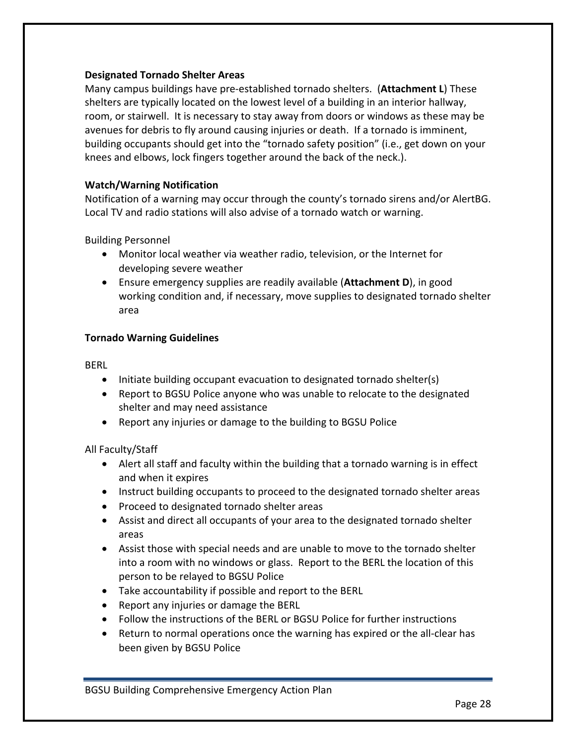# **Designated Tornado Shelter Areas**

Many campus buildings have pre-established tornado shelters. (**Attachment L**) These shelters are typically located on the lowest level of a building in an interior hallway, room, or stairwell. It is necessary to stay away from doors or windows as these may be avenues for debris to fly around causing injuries or death. If a tornado is imminent, building occupants should get into the "tornado safety position" (i.e., get down on your knees and elbows, lock fingers together around the back of the neck.).

# **Watch/Warning Notification**

Notification of a warning may occur through the county's tornado sirens and/or AlertBG. Local TV and radio stations will also advise of a tornado watch or warning.

Building Personnel

- Monitor local weather via weather radio, television, or the Internet for developing severe weather
- Ensure emergency supplies are readily available (**Attachment D**), in good working condition and, if necessary, move supplies to designated tornado shelter area

# **Tornado Warning Guidelines**

BERL

- Initiate building occupant evacuation to designated tornado shelter(s)
- Report to BGSU Police anyone who was unable to relocate to the designated shelter and may need assistance
- Report any injuries or damage to the building to BGSU Police

# All Faculty/Staff

- Alert all staff and faculty within the building that a tornado warning is in effect and when it expires
- Instruct building occupants to proceed to the designated tornado shelter areas
- Proceed to designated tornado shelter areas
- Assist and direct all occupants of your area to the designated tornado shelter areas
- Assist those with special needs and are unable to move to the tornado shelter into a room with no windows or glass. Report to the BERL the location of this person to be relayed to BGSU Police
- Take accountability if possible and report to the BERL
- Report any injuries or damage the BERL
- Follow the instructions of the BERL or BGSU Police for further instructions
- Return to normal operations once the warning has expired or the all-clear has been given by BGSU Police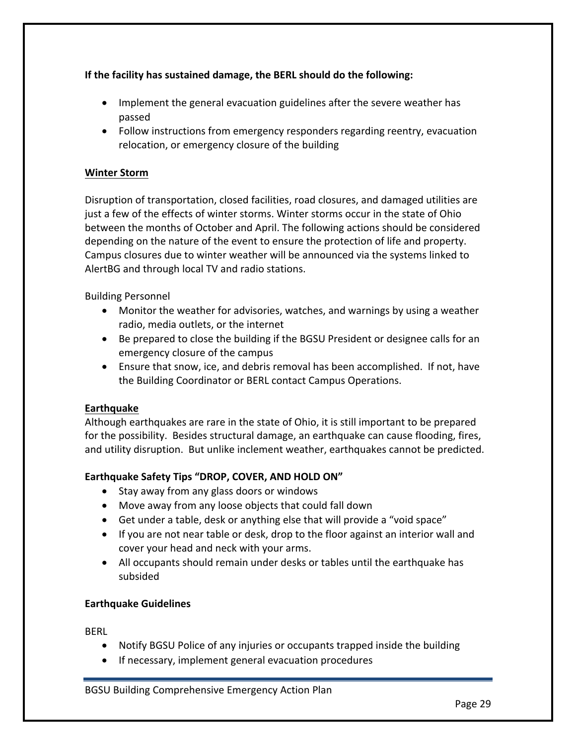**If the facility has sustained damage, the BERL should do the following:** 

- Implement the general evacuation guidelines after the severe weather has passed
- Follow instructions from emergency responders regarding reentry, evacuation relocation, or emergency closure of the building

# **Winter Storm**

Disruption of transportation, closed facilities, road closures, and damaged utilities are just a few of the effects of winter storms. Winter storms occur in the state of Ohio between the months of October and April. The following actions should be considered depending on the nature of the event to ensure the protection of life and property. Campus closures due to winter weather will be announced via the systems linked to AlertBG and through local TV and radio stations.

Building Personnel

- Monitor the weather for advisories, watches, and warnings by using a weather radio, media outlets, or the internet
- Be prepared to close the building if the BGSU President or designee calls for an emergency closure of the campus
- Ensure that snow, ice, and debris removal has been accomplished. If not, have the Building Coordinator or BERL contact Campus Operations.

# **Earthquake**

Although earthquakes are rare in the state of Ohio, it is still important to be prepared for the possibility. Besides structural damage, an earthquake can cause flooding, fires, and utility disruption. But unlike inclement weather, earthquakes cannot be predicted.

# Earthquake Safety Tips "DROP, COVER, AND HOLD ON"

- Stay away from any glass doors or windows
- Move away from any loose objects that could fall down
- Get under a table, desk or anything else that will provide a "void space"
- If you are not near table or desk, drop to the floor against an interior wall and cover your head and neck with your arms.
- All occupants should remain under desks or tables until the earthquake has subsided

# **Earthquake Guidelines**

BERL

- Notify BGSU Police of any injuries or occupants trapped inside the building
- If necessary, implement general evacuation procedures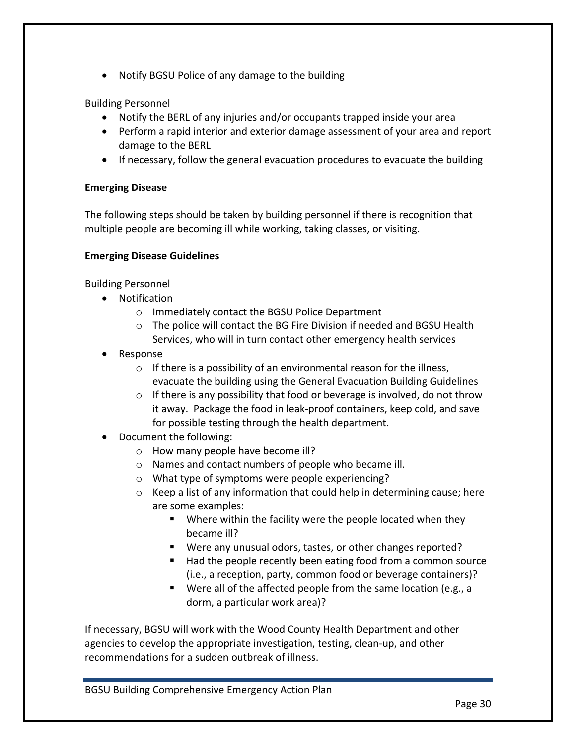• Notify BGSU Police of any damage to the building

Building Personnel

- Notify the BERL of any injuries and/or occupants trapped inside your area
- Perform a rapid interior and exterior damage assessment of your area and report damage to the BERL
- If necessary, follow the general evacuation procedures to evacuate the building

# **Emerging Disease**

The following steps should be taken by building personnel if there is recognition that multiple people are becoming ill while working, taking classes, or visiting.

# **Emerging Disease Guidelines**

Building Personnel

- Notification
	- $\circ$  Immediately contact the BGSU Police Department
	- $\circ$  The police will contact the BG Fire Division if needed and BGSU Health Services, who will in turn contact other emergency health services
- Response
	- $\circ$  If there is a possibility of an environmental reason for the illness, evacuate the building using the General Evacuation Building Guidelines
	- $\circ$  If there is any possibility that food or beverage is involved, do not throw it away. Package the food in leak-proof containers, keep cold, and save for possible testing through the health department.
- Document the following:
	- $\circ$  How many people have become ill?
	- $\circ$  Names and contact numbers of people who became ill.
	- $\circ$  What type of symptoms were people experiencing?
	- $\circ$  Keep a list of any information that could help in determining cause; here are some examples:
		- $\blacksquare$  Where within the facility were the people located when they became ill?
		- Were any unusual odors, tastes, or other changes reported?
		- Had the people recently been eating food from a common source (i.e., a reception, party, common food or beverage containers)?
		- Were all of the affected people from the same location (e.g., a dorm, a particular work area)?

If necessary, BGSU will work with the Wood County Health Department and other agencies to develop the appropriate investigation, testing, clean-up, and other recommendations for a sudden outbreak of illness.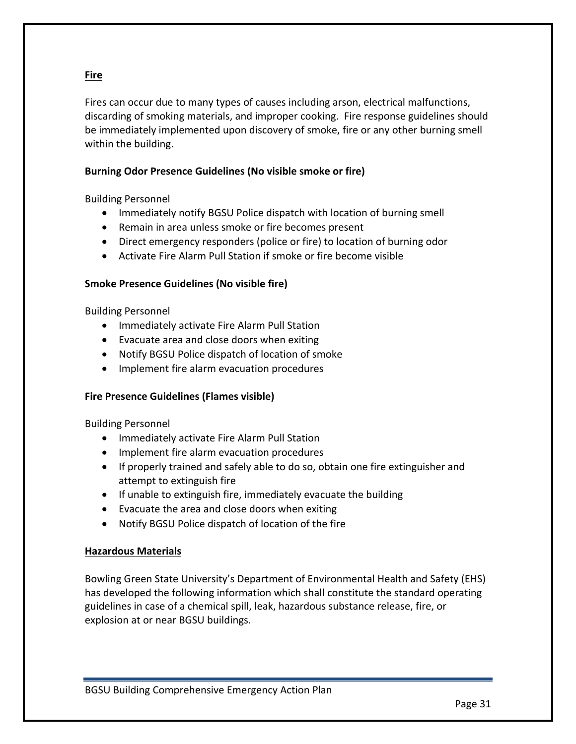# **Fire**

Fires can occur due to many types of causes including arson, electrical malfunctions, discarding of smoking materials, and improper cooking. Fire response guidelines should be immediately implemented upon discovery of smoke, fire or any other burning smell within the building.

# **Burning Odor Presence Guidelines (No visible smoke or fire)**

Building Personnel

- Immediately notify BGSU Police dispatch with location of burning smell
- Remain in area unless smoke or fire becomes present
- Direct emergency responders (police or fire) to location of burning odor
- Activate Fire Alarm Pull Station if smoke or fire become visible

#### **Smoke Presence Guidelines (No visible fire)**

Building Personnel

- Immediately activate Fire Alarm Pull Station
- Evacuate area and close doors when exiting
- Notify BGSU Police dispatch of location of smoke
- Implement fire alarm evacuation procedures

# **Fire Presence Guidelines (Flames visible)**

Building Personnel

- Immediately activate Fire Alarm Pull Station
- Implement fire alarm evacuation procedures
- If properly trained and safely able to do so, obtain one fire extinguisher and attempt to extinguish fire
- $\bullet$  If unable to extinguish fire, immediately evacuate the building
- Evacuate the area and close doors when exiting
- Notify BGSU Police dispatch of location of the fire

# **Hazardous Materials**

Bowling Green State University's Department of Environmental Health and Safety (EHS) has developed the following information which shall constitute the standard operating guidelines in case of a chemical spill, leak, hazardous substance release, fire, or explosion at or near BGSU buildings.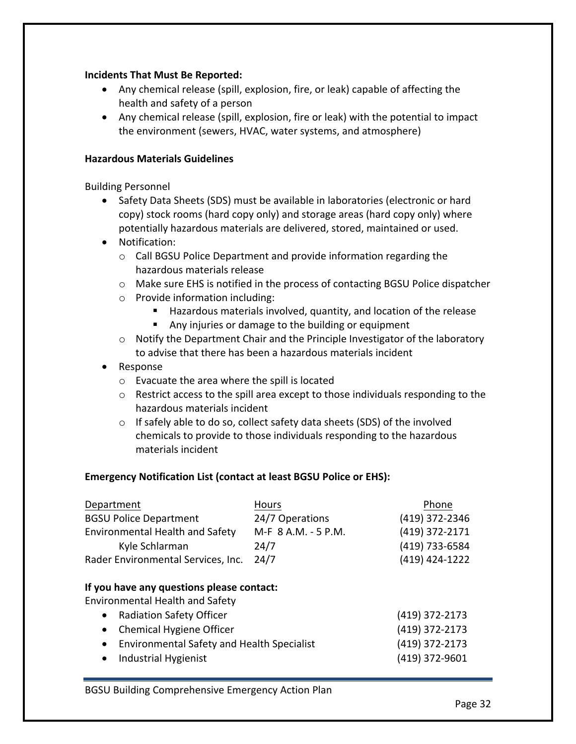# **Incidents That Must Be Reported:**

- Any chemical release (spill, explosion, fire, or leak) capable of affecting the health and safety of a person
- Any chemical release (spill, explosion, fire or leak) with the potential to impact the environment (sewers, HVAC, water systems, and atmosphere)

#### **Hazardous Materials Guidelines**

Building Personnel

- Safety Data Sheets (SDS) must be available in laboratories (electronic or hard copy) stock rooms (hard copy only) and storage areas (hard copy only) where potentially hazardous materials are delivered, stored, maintained or used.
- Notification:
	- $\circ$  Call BGSU Police Department and provide information regarding the hazardous materials release
	- o Make sure EHS is notified in the process of contacting BGSU Police dispatcher
	- $\circ$  Provide information including:
		- Hazardous materials involved, quantity, and location of the release
		- Any injuries or damage to the building or equipment
	- $\circ$  Notify the Department Chair and the Principle Investigator of the laboratory to advise that there has been a hazardous materials incident
- Response
	- $\circ$  Evacuate the area where the spill is located
	- $\circ$  Restrict access to the spill area except to those individuals responding to the hazardous materials incident
	- $\circ$  If safely able to do so, collect safety data sheets (SDS) of the involved chemicals to provide to those individuals responding to the hazardous materials incident

# **Emergency Notification List (contact at least BGSU Police or EHS):**

| Department                                                                          | <b>Hours</b>        | Phone          |
|-------------------------------------------------------------------------------------|---------------------|----------------|
| <b>BGSU Police Department</b>                                                       | 24/7 Operations     | (419) 372-2346 |
| <b>Environmental Health and Safety</b>                                              | M-F 8 A.M. - 5 P.M. | (419) 372-2171 |
| Kyle Schlarman                                                                      | 24/7                | (419) 733-6584 |
| Rader Environmental Services, Inc.                                                  | 24/7                | (419) 424-1222 |
| If you have any questions please contact:<br><b>Environmental Health and Safety</b> |                     |                |
| <b>Radiation Safety Officer</b><br>$\bullet$                                        |                     | (419) 372-2173 |
| <b>Chemical Hygiene Officer</b><br>$\bullet$                                        |                     | (419) 372-2173 |
| <b>Environmental Safety and Health Specialist</b><br>$\bullet$                      |                     | (419) 372-2173 |
| Industrial Hygienist<br>$\bullet$                                                   |                     | (419) 372-9601 |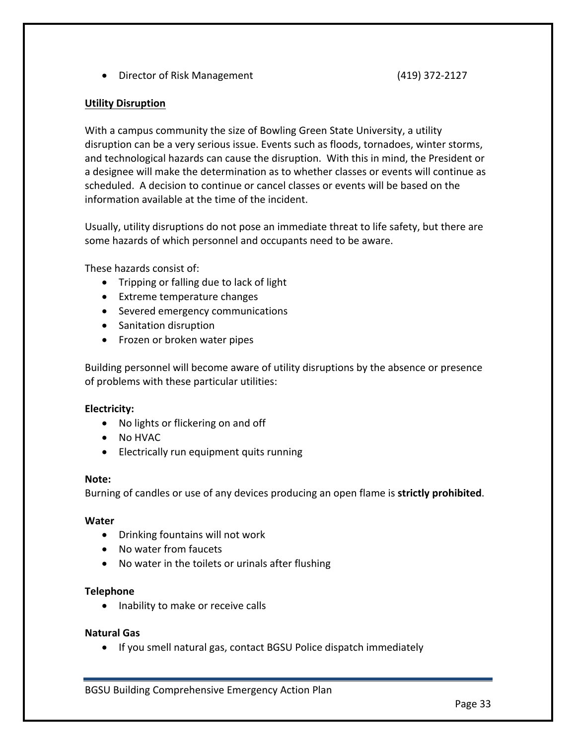• Director of Risk Management (419) 372-2127

#### **Utility Disruption**

With a campus community the size of Bowling Green State University, a utility disruption can be a very serious issue. Events such as floods, tornadoes, winter storms, and technological hazards can cause the disruption. With this in mind, the President or a designee will make the determination as to whether classes or events will continue as scheduled. A decision to continue or cancel classes or events will be based on the information available at the time of the incident.

Usually, utility disruptions do not pose an immediate threat to life safety, but there are some hazards of which personnel and occupants need to be aware.

These hazards consist of:

- Tripping or falling due to lack of light
- Extreme temperature changes
- Severed emergency communications
- Sanitation disruption
- Frozen or broken water pipes

Building personnel will become aware of utility disruptions by the absence or presence of problems with these particular utilities:

#### **Electricity:**

- No lights or flickering on and off
- No HVAC
- Electrically run equipment quits running

#### **Note:**

Burning of candles or use of any devices producing an open flame is **strictly prohibited**.

#### **Water**

- Drinking fountains will not work
- No water from faucets
- No water in the toilets or urinals after flushing

#### **Telephone**

• Inability to make or receive calls

#### **Natural Gas**

• If you smell natural gas, contact BGSU Police dispatch immediately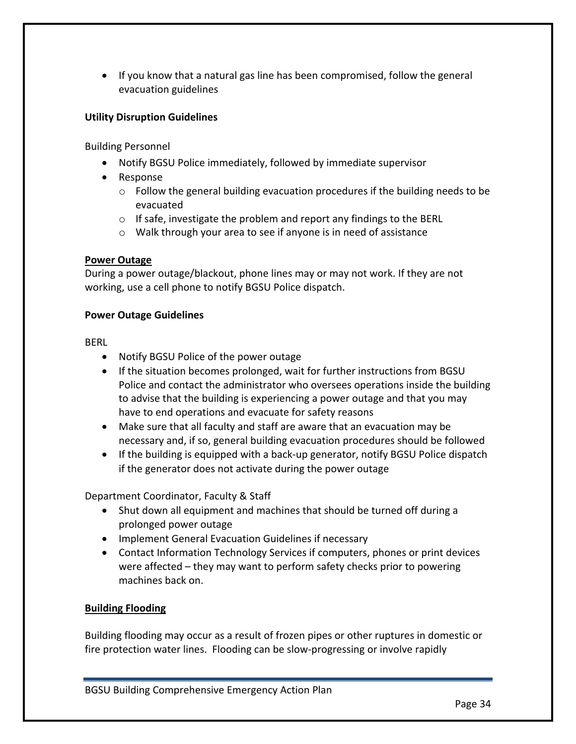• If you know that a natural gas line has been compromised, follow the general evacuation guidelines

# **Utility Disruption Guidelines**

Building Personnel

- Notify BGSU Police immediately, followed by immediate supervisor
- Response
	- $\circ$  Follow the general building evacuation procedures if the building needs to be evacuated
	- $\circ$  If safe, investigate the problem and report any findings to the BERL
	- $\circ$  Walk through your area to see if anyone is in need of assistance

# **Power Outage**

During a power outage/blackout, phone lines may or may not work. If they are not working, use a cell phone to notify BGSU Police dispatch.

#### **Power Outage Guidelines**

BERL

- Notify BGSU Police of the power outage
- If the situation becomes prolonged, wait for further instructions from BGSU Police and contact the administrator who oversees operations inside the building to advise that the building is experiencing a power outage and that you may have to end operations and evacuate for safety reasons
- Make sure that all faculty and staff are aware that an evacuation may be necessary and, if so, general building evacuation procedures should be followed
- If the building is equipped with a back-up generator, notify BGSU Police dispatch if the generator does not activate during the power outage

Department Coordinator, Faculty & Staff

- Shut down all equipment and machines that should be turned off during a prolonged power outage
- Implement General Evacuation Guidelines if necessary
- Contact Information Technology Services if computers, phones or print devices were affected  $-$  they may want to perform safety checks prior to powering machines back on.

# **Building Flooding**

Building flooding may occur as a result of frozen pipes or other ruptures in domestic or fire protection water lines. Flooding can be slow-progressing or involve rapidly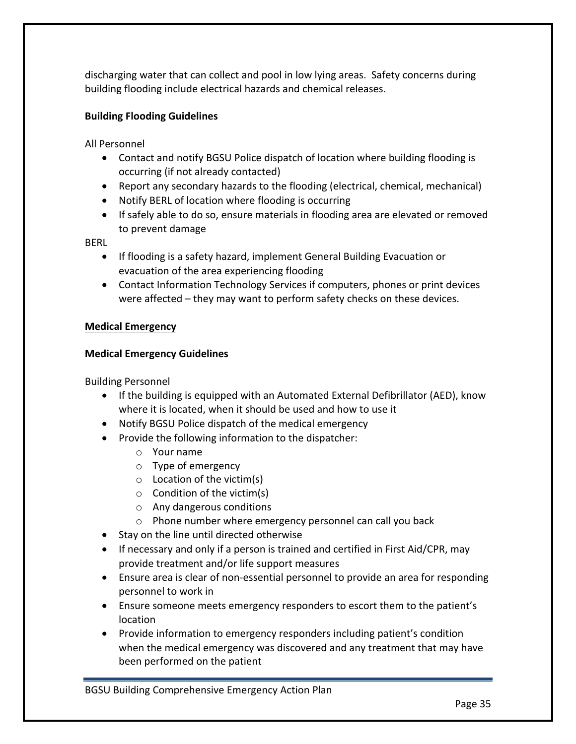discharging water that can collect and pool in low lying areas. Safety concerns during building flooding include electrical hazards and chemical releases.

# **Building Flooding Guidelines**

All Personnel

- Contact and notify BGSU Police dispatch of location where building flooding is occurring (if not already contacted)
- Report any secondary hazards to the flooding (electrical, chemical, mechanical)
- Notify BERL of location where flooding is occurring
- If safely able to do so, ensure materials in flooding area are elevated or removed to prevent damage

BERL

- If flooding is a safety hazard, implement General Building Evacuation or evacuation of the area experiencing flooding
- Contact Information Technology Services if computers, phones or print devices were affected – they may want to perform safety checks on these devices.

# **Medical Emergency**

# **Medical Emergency Guidelines**

Building Personnel

- If the building is equipped with an Automated External Defibrillator (AED), know where it is located, when it should be used and how to use it
- Notify BGSU Police dispatch of the medical emergency
- Provide the following information to the dispatcher:
	- $\circ$  Your name
	- $\circ$  Type of emergency
	- $\circ$  Location of the victim(s)
	- $\circ$  Condition of the victim(s)
	- $\circ$  Any dangerous conditions
	- $\circ$  Phone number where emergency personnel can call you back
- Stay on the line until directed otherwise
- If necessary and only if a person is trained and certified in First Aid/CPR, may provide treatment and/or life support measures
- Ensure area is clear of non-essential personnel to provide an area for responding personnel to work in
- Ensure someone meets emergency responders to escort them to the patient's location
- Provide information to emergency responders including patient's condition when the medical emergency was discovered and any treatment that may have been performed on the patient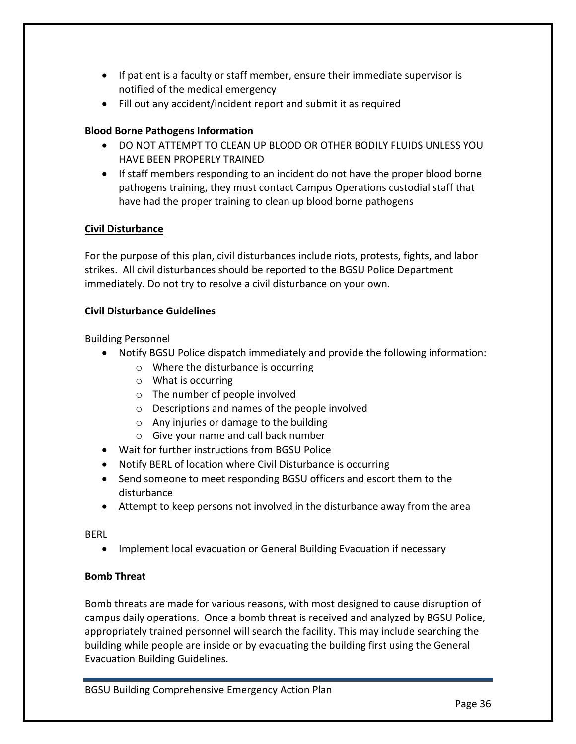- If patient is a faculty or staff member, ensure their immediate supervisor is notified of the medical emergency
- Fill out any accident/incident report and submit it as required

# **Blood Borne Pathogens Information**

- DO NOT ATTEMPT TO CLEAN UP BLOOD OR OTHER BODILY FLUIDS UNLESS YOU HAVE BEEN PROPERLY TRAINED
- If staff members responding to an incident do not have the proper blood borne pathogens training, they must contact Campus Operations custodial staff that have had the proper training to clean up blood borne pathogens

# **Civil Disturbance**

For the purpose of this plan, civil disturbances include riots, protests, fights, and labor strikes. All civil disturbances should be reported to the BGSU Police Department immediately. Do not try to resolve a civil disturbance on your own.

# **Civil Disturbance Guidelines**

Building Personnel

- Notify BGSU Police dispatch immediately and provide the following information:
	- $\circ$  Where the disturbance is occurring
	- $\circ$  What is occurring
	- $\circ$  The number of people involved
	- $\circ$  Descriptions and names of the people involved
	- $\circ$  Any injuries or damage to the building
	- $\circ$  Give your name and call back number
- Wait for further instructions from BGSU Police
- Notify BERL of location where Civil Disturbance is occurring
- Send someone to meet responding BGSU officers and escort them to the disturbance
- Attempt to keep persons not involved in the disturbance away from the area

BERL

• Implement local evacuation or General Building Evacuation if necessary

# **Bomb Threat**

Bomb threats are made for various reasons, with most designed to cause disruption of campus daily operations. Once a bomb threat is received and analyzed by BGSU Police, appropriately trained personnel will search the facility. This may include searching the building while people are inside or by evacuating the building first using the General Evacuation Building Guidelines.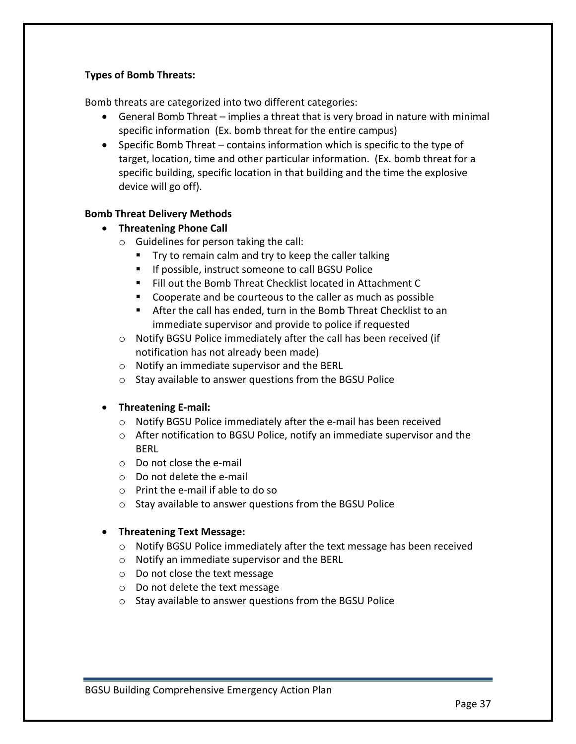# **Types of Bomb Threats:**

Bomb threats are categorized into two different categories:

- General Bomb Threat implies a threat that is very broad in nature with minimal specific information (Ex. bomb threat for the entire campus)
- Specific Bomb Threat contains information which is specific to the type of target, location, time and other particular information. (Ex. bomb threat for a specific building, specific location in that building and the time the explosive device will go off).

# **Bomb Threat Delivery Methods**

- **•** Threatening Phone Call
	- $\circ$  Guidelines for person taking the call:
		- Try to remain calm and try to keep the caller talking
		- If possible, instruct someone to call BGSU Police
		- Fill out the Bomb Threat Checklist located in Attachment C
		- Cooperate and be courteous to the caller as much as possible
		- After the call has ended, turn in the Bomb Threat Checklist to an immediate supervisor and provide to police if requested
	- $\circ$  Notify BGSU Police immediately after the call has been received (if notification has not already been made)
	- $\circ$  Notify an immediate supervisor and the BERL
	- $\circ$  Stay available to answer questions from the BGSU Police

# • **Threatening E-mail:**

- $\circ$  Notify BGSU Police immediately after the e-mail has been received
- $\circ$  After notification to BGSU Police, notify an immediate supervisor and the **BERL**
- $\circ$  Do not close the e-mail
- $\circ$  Do not delete the e-mail
- $\circ$  Print the e-mail if able to do so
- $\circ$  Stay available to answer questions from the BGSU Police

# **•** Threatening Text Message:

- $\circ$  Notify BGSU Police immediately after the text message has been received
- $\circ$  Notify an immediate supervisor and the BERL
- $\circ$  Do not close the text message
- $\circ$  Do not delete the text message
- $\circ$  Stay available to answer questions from the BGSU Police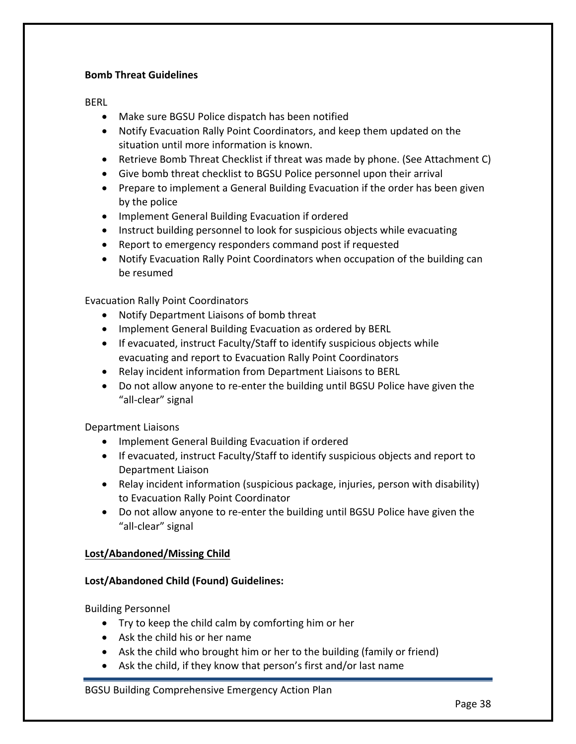# **Bomb Threat Guidelines**

BERL

- Make sure BGSU Police dispatch has been notified
- Notify Evacuation Rally Point Coordinators, and keep them updated on the situation until more information is known.
- Retrieve Bomb Threat Checklist if threat was made by phone. (See Attachment C)
- Give bomb threat checklist to BGSU Police personnel upon their arrival
- Prepare to implement a General Building Evacuation if the order has been given by the police
- Implement General Building Evacuation if ordered
- Instruct building personnel to look for suspicious objects while evacuating
- Report to emergency responders command post if requested
- Notify Evacuation Rally Point Coordinators when occupation of the building can be resumed

Evacuation Rally Point Coordinators

- Notify Department Liaisons of bomb threat
- Implement General Building Evacuation as ordered by BERL
- If evacuated, instruct Faculty/Staff to identify suspicious objects while evacuating and report to Evacuation Rally Point Coordinators
- Relay incident information from Department Liaisons to BERL
- Do not allow anyone to re-enter the building until BGSU Police have given the "all-clear" signal

Department Liaisons

- Implement General Building Evacuation if ordered
- If evacuated, instruct Faculty/Staff to identify suspicious objects and report to Department Liaison
- Relay incident information (suspicious package, injuries, person with disability) to Evacuation Rally Point Coordinator
- Do not allow anyone to re-enter the building until BGSU Police have given the "all-clear" signal

# **Lost/Abandoned/Missing Child**

# **Lost/Abandoned Child (Found) Guidelines:**

Building Personnel

- Try to keep the child calm by comforting him or her
- $\bullet$  Ask the child his or her name
- Ask the child who brought him or her to the building (family or friend)
- Ask the child, if they know that person's first and/or last name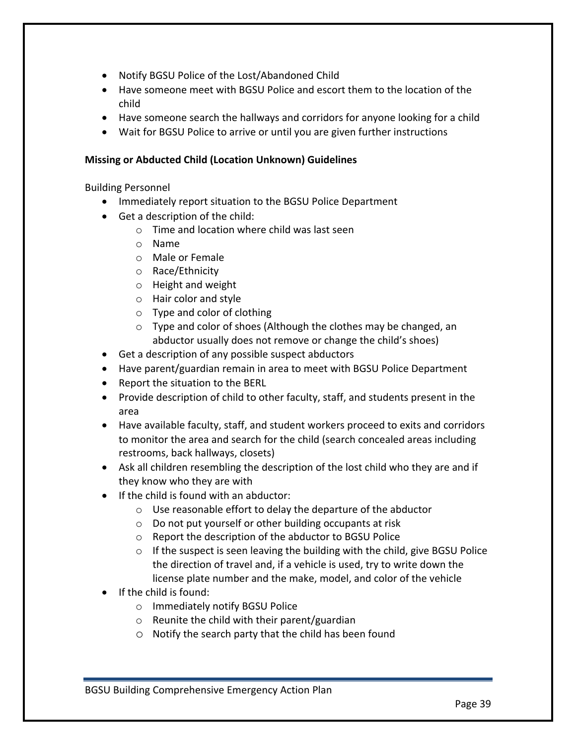- Notify BGSU Police of the Lost/Abandoned Child
- Have someone meet with BGSU Police and escort them to the location of the child
- Have someone search the hallways and corridors for anyone looking for a child
- Wait for BGSU Police to arrive or until you are given further instructions

# **Missing or Abducted Child (Location Unknown) Guidelines**

Building Personnel

- Immediately report situation to the BGSU Police Department
- $\bullet$  Get a description of the child:
	- $\circ$  Time and location where child was last seen
	- o Name
	- $\circ$  Male or Female
	- o Race/Ethnicity
	- $\circ$  Height and weight
	- $\circ$  Hair color and style
	- $\circ$  Type and color of clothing
	- $\circ$  Type and color of shoes (Although the clothes may be changed, an abductor usually does not remove or change the child's shoes)
- Get a description of any possible suspect abductors
- Have parent/guardian remain in area to meet with BGSU Police Department
- Report the situation to the BERL
- Provide description of child to other faculty, staff, and students present in the area
- Have available faculty, staff, and student workers proceed to exits and corridors to monitor the area and search for the child (search concealed areas including restrooms, back hallways, closets)
- Ask all children resembling the description of the lost child who they are and if they know who they are with
- $\bullet$  If the child is found with an abductor:
	- $\circ$  Use reasonable effort to delay the departure of the abductor
	- $\circ$  Do not put yourself or other building occupants at risk
	- $\circ$  Report the description of the abductor to BGSU Police
	- $\circ$  If the suspect is seen leaving the building with the child, give BGSU Police the direction of travel and, if a vehicle is used, try to write down the license plate number and the make, model, and color of the vehicle
- $\bullet$  If the child is found:
	- o Immediately notify BGSU Police
	- $\circ$  Reunite the child with their parent/guardian
	- $\circ$  Notify the search party that the child has been found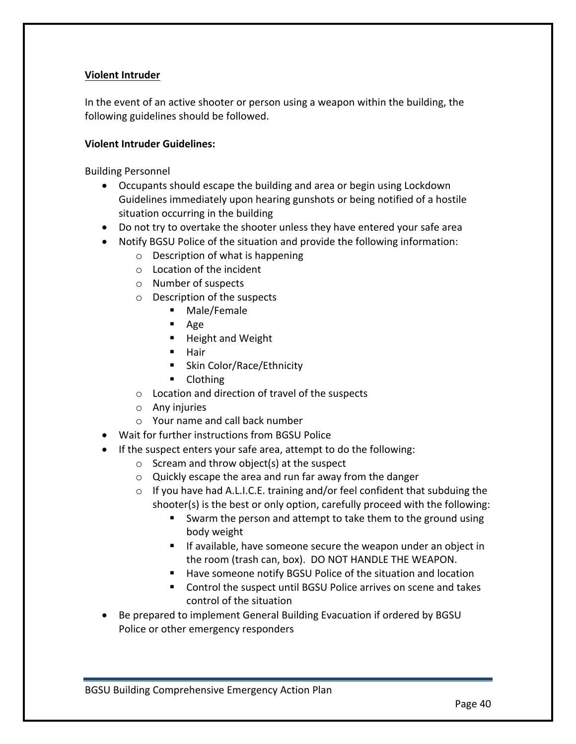# **Violent Intruder**

In the event of an active shooter or person using a weapon within the building, the following guidelines should be followed.

#### **Violent Intruder Guidelines:**

Building Personnel

- Occupants should escape the building and area or begin using Lockdown Guidelines immediately upon hearing gunshots or being notified of a hostile situation occurring in the building
- Do not try to overtake the shooter unless they have entered your safe area
- Notify BGSU Police of the situation and provide the following information:
	- $\circ$  Description of what is happening
	- $\circ$  Location of the incident
	- $\circ$  Number of suspects
	- $\circ$  Description of the suspects
		- § Male/Female
		- Age
		- Height and Weight
		- Hair
		- Skin Color/Race/Ethnicity
		- Clothing
	- $\circ$  Location and direction of travel of the suspects
	- $\circ$  Any injuries
	- $\circ$  Your name and call back number
- Wait for further instructions from BGSU Police
- If the suspect enters your safe area, attempt to do the following:
	- $\circ$  Scream and throw object(s) at the suspect
	- $\circ$  Quickly escape the area and run far away from the danger
	- $\circ$  If you have had A.L.I.C.E. training and/or feel confident that subduing the shooter(s) is the best or only option, carefully proceed with the following:
		- Swarm the person and attempt to take them to the ground using body weight
		- **F** If available, have someone secure the weapon under an object in the room (trash can, box). DO NOT HANDLE THE WEAPON.
		- Have someone notify BGSU Police of the situation and location
		- Control the suspect until BGSU Police arrives on scene and takes control of the situation
- Be prepared to implement General Building Evacuation if ordered by BGSU Police or other emergency responders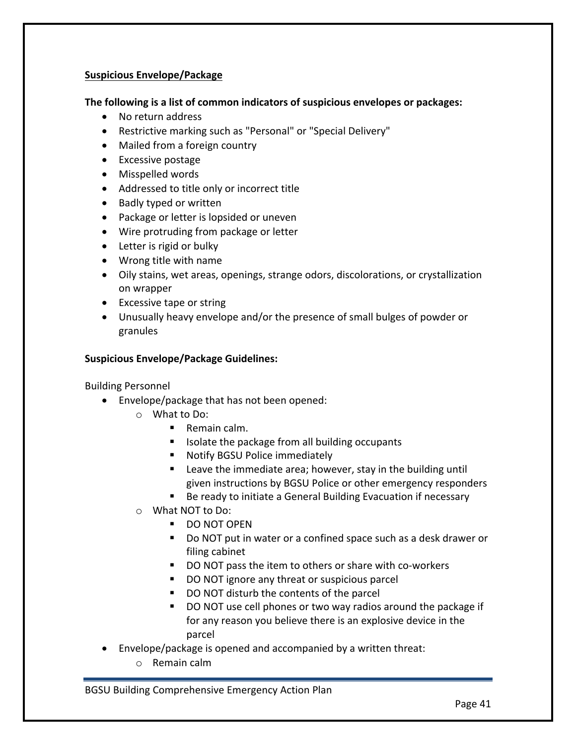# **Suspicious Envelope/Package**

# The following is a list of common indicators of suspicious envelopes or packages:

- No return address
- Restrictive marking such as "Personal" or "Special Delivery"
- Mailed from a foreign country
- Excessive postage
- Misspelled words
- Addressed to title only or incorrect title
- Badly typed or written
- Package or letter is lopsided or uneven
- Wire protruding from package or letter
- Letter is rigid or bulky
- $\bullet$  Wrong title with name
- Oily stains, wet areas, openings, strange odors, discolorations, or crystallization on wrapper
- Excessive tape or string
- Unusually heavy envelope and/or the presence of small bulges of powder or granules

# **Suspicious Envelope/Package Guidelines:**

Building Personnel

- Envelope/package that has not been opened:
	- $\circ$  What to Do:
		- Remain calm.
		- Isolate the package from all building occupants
		- Notify BGSU Police immediately
		- E Leave the immediate area; however, stay in the building until given instructions by BGSU Police or other emergency responders
		- Be ready to initiate a General Building Evacuation if necessary
	- $\circ$  What NOT to Do:
		- DO NOT OPEN
		- Do NOT put in water or a confined space such as a desk drawer or filing cabinet
		- DO NOT pass the item to others or share with co-workers
		- DO NOT ignore any threat or suspicious parcel
		- DO NOT disturb the contents of the parcel
		- $\blacksquare$  DO NOT use cell phones or two way radios around the package if for any reason you believe there is an explosive device in the parcel
- Envelope/package is opened and accompanied by a written threat:
	- $\circ$  Remain calm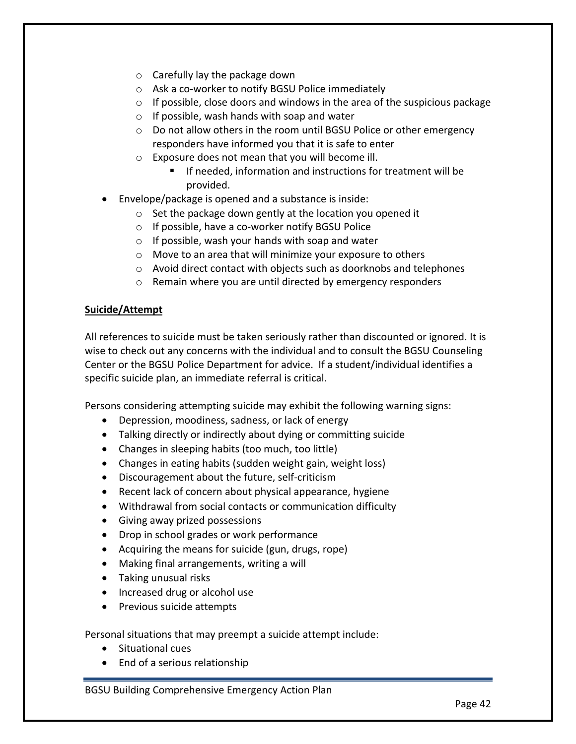- $\circ$  Carefully lay the package down
- $\circ$  Ask a co-worker to notify BGSU Police immediately
- $\circ$  If possible, close doors and windows in the area of the suspicious package
- $\circ$  If possible, wash hands with soap and water
- $\circ$  Do not allow others in the room until BGSU Police or other emergency responders have informed you that it is safe to enter
- $\circ$  Exposure does not mean that you will become ill.
	- **F** If needed, information and instructions for treatment will be provided.
- Envelope/package is opened and a substance is inside:
	- $\circ$  Set the package down gently at the location you opened it
	- $\circ$  If possible, have a co-worker notify BGSU Police
	- $\circ$  If possible, wash your hands with soap and water
	- $\circ$  Move to an area that will minimize your exposure to others
	- $\circ$  Avoid direct contact with objects such as doorknobs and telephones
	- $\circ$  Remain where you are until directed by emergency responders

# **Suicide/Attempt**

All references to suicide must be taken seriously rather than discounted or ignored. It is wise to check out any concerns with the individual and to consult the BGSU Counseling Center or the BGSU Police Department for advice. If a student/individual identifies a specific suicide plan, an immediate referral is critical.

Persons considering attempting suicide may exhibit the following warning signs:

- Depression, moodiness, sadness, or lack of energy
- Talking directly or indirectly about dying or committing suicide
- Changes in sleeping habits (too much, too little)
- Changes in eating habits (sudden weight gain, weight loss)
- Discouragement about the future, self-criticism
- Recent lack of concern about physical appearance, hygiene
- Withdrawal from social contacts or communication difficulty
- Giving away prized possessions
- Drop in school grades or work performance
- Acquiring the means for suicide (gun, drugs, rope)
- $\bullet$  Making final arrangements, writing a will
- Taking unusual risks
- Increased drug or alcohol use
- Previous suicide attempts

Personal situations that may preempt a suicide attempt include:

- Situational cues
- End of a serious relationship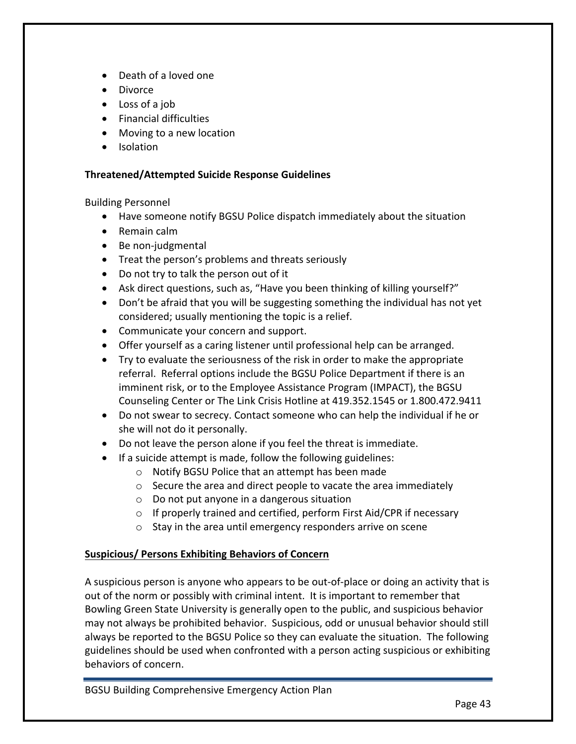- Death of a loved one
- Divorce
- Loss of a job
- Financial difficulties
- Moving to a new location
- Isolation

#### **Threatened/Attempted Suicide Response Guidelines**

Building Personnel

- Have someone notify BGSU Police dispatch immediately about the situation
- Remain calm
- $\bullet$  Be non-judgmental
- Treat the person's problems and threats seriously
- Do not try to talk the person out of it
- Ask direct questions, such as, "Have you been thinking of killing yourself?"
- Don't be afraid that you will be suggesting something the individual has not yet considered; usually mentioning the topic is a relief.
- Communicate your concern and support.
- Offer yourself as a caring listener until professional help can be arranged.
- Try to evaluate the seriousness of the risk in order to make the appropriate referral. Referral options include the BGSU Police Department if there is an imminent risk, or to the Employee Assistance Program (IMPACT), the BGSU Counseling Center or The Link Crisis Hotline at 419.352.1545 or 1.800.472.9411
- Do not swear to secrecy. Contact someone who can help the individual if he or she will not do it personally.
- Do not leave the person alone if you feel the threat is immediate.
- $\bullet$  If a suicide attempt is made, follow the following guidelines:
	- $\circ$  Notify BGSU Police that an attempt has been made
	- $\circ$  Secure the area and direct people to vacate the area immediately
	- $\circ$  Do not put anyone in a dangerous situation
	- $\circ$  If properly trained and certified, perform First Aid/CPR if necessary
	- $\circ$  Stay in the area until emergency responders arrive on scene

# **Suspicious/ Persons Exhibiting Behaviors of Concern**

A suspicious person is anyone who appears to be out-of-place or doing an activity that is out of the norm or possibly with criminal intent. It is important to remember that Bowling Green State University is generally open to the public, and suspicious behavior may not always be prohibited behavior. Suspicious, odd or unusual behavior should still always be reported to the BGSU Police so they can evaluate the situation. The following guidelines should be used when confronted with a person acting suspicious or exhibiting behaviors of concern.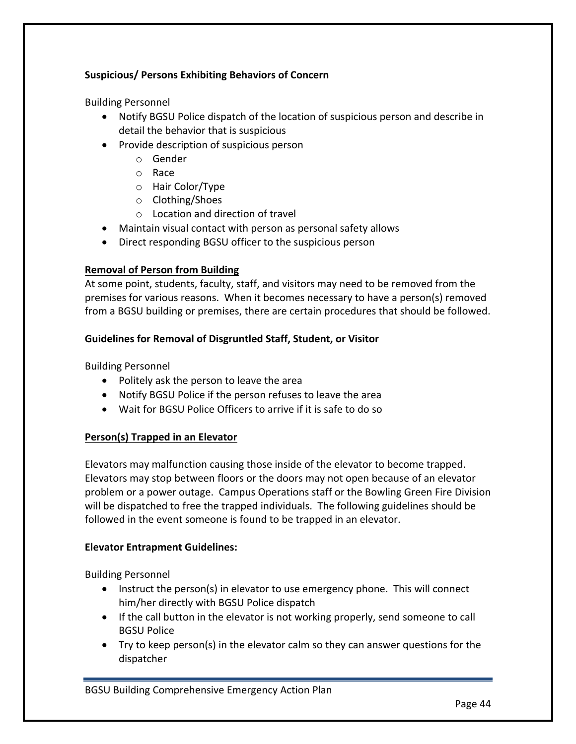# **Suspicious/ Persons Exhibiting Behaviors of Concern**

Building Personnel

- Notify BGSU Police dispatch of the location of suspicious person and describe in detail the behavior that is suspicious
- Provide description of suspicious person
	- o Gender
	- o Race
	- o Hair Color/Type
	- o Clothing/Shoes
	- $\circ$  Location and direction of travel
- Maintain visual contact with person as personal safety allows
- Direct responding BGSU officer to the suspicious person

# **Removal of Person from Building**

At some point, students, faculty, staff, and visitors may need to be removed from the premises for various reasons. When it becomes necessary to have a person(s) removed from a BGSU building or premises, there are certain procedures that should be followed.

# Guidelines for Removal of Disgruntled Staff, Student, or Visitor

Building Personnel

- Politely ask the person to leave the area
- Notify BGSU Police if the person refuses to leave the area
- Wait for BGSU Police Officers to arrive if it is safe to do so

# **Person(s) Trapped in an Elevator**

Elevators may malfunction causing those inside of the elevator to become trapped. Elevators may stop between floors or the doors may not open because of an elevator problem or a power outage. Campus Operations staff or the Bowling Green Fire Division will be dispatched to free the trapped individuals. The following guidelines should be followed in the event someone is found to be trapped in an elevator.

# **Elevator Entrapment Guidelines:**

Building Personnel

- Instruct the person(s) in elevator to use emergency phone. This will connect him/her directly with BGSU Police dispatch
- If the call button in the elevator is not working properly, send someone to call **BGSU Police**
- Try to keep person(s) in the elevator calm so they can answer questions for the dispatcher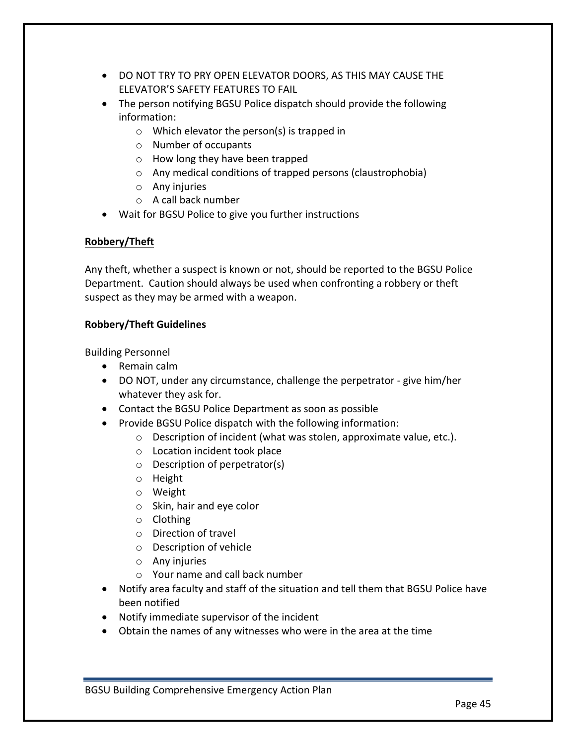- DO NOT TRY TO PRY OPEN ELEVATOR DOORS, AS THIS MAY CAUSE THE ELEVATOR'S SAFETY FEATURES TO FAIL
- The person notifying BGSU Police dispatch should provide the following information:
	- $\circ$  Which elevator the person(s) is trapped in
	- $\circ$  Number of occupants
	- $\circ$  How long they have been trapped
	- o Any medical conditions of trapped persons (claustrophobia)
	- $\circ$  Any injuries
	- $\circ$  A call back number
- Wait for BGSU Police to give you further instructions

# **Robbery/Theft**

Any theft, whether a suspect is known or not, should be reported to the BGSU Police Department. Caution should always be used when confronting a robbery or theft suspect as they may be armed with a weapon.

# **Robbery/Theft Guidelines**

Building Personnel

- Remain calm
- DO NOT, under any circumstance, challenge the perpetrator give him/her whatever they ask for.
- Contact the BGSU Police Department as soon as possible
- Provide BGSU Police dispatch with the following information:
	- $\circ$  Description of incident (what was stolen, approximate value, etc.).
	- $\circ$  Location incident took place
	- $\circ$  Description of perpetrator(s)
	- o Height
	- o Weight
	- $\circ$  Skin, hair and eye color
	- o Clothing
	- $\circ$  Direction of travel
	- $\circ$  Description of vehicle
	- $\circ$  Any injuries
	- $\circ$  Your name and call back number
- Notify area faculty and staff of the situation and tell them that BGSU Police have been notified
- Notify immediate supervisor of the incident
- Obtain the names of any witnesses who were in the area at the time